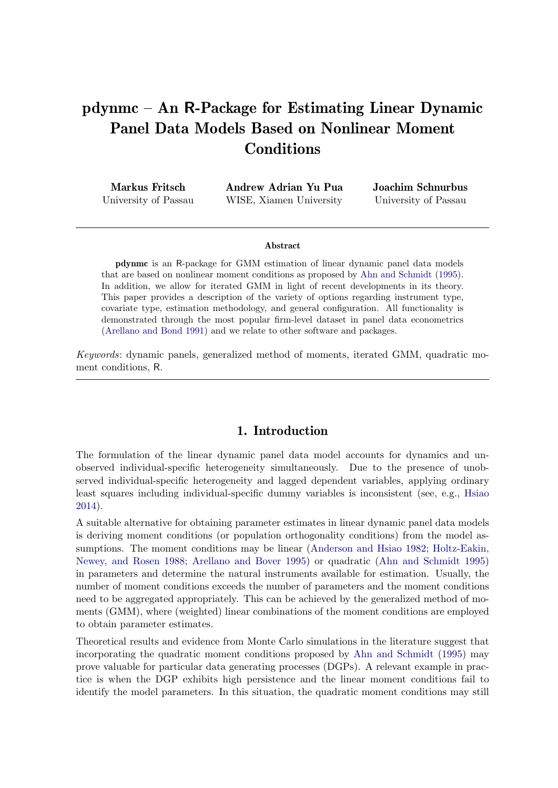# pdynmc – An R-Package for Estimating Linear Dynamic Panel Data Models Based on Nonlinear Moment Conditions

| <b>Markus Fritsch</b> | Andrew Adrian Yu Pua    | Joachim Schnurbus    |
|-----------------------|-------------------------|----------------------|
| University of Passau  | WISE, Xiamen University | University of Passau |

#### Abstract

pdynmc is an R-package for GMM estimation of linear dynamic panel data models that are based on nonlinear moment conditions as proposed by [Ahn and Schmidt](#page-21-0) [\(1995\)](#page-21-0). In addition, we allow for iterated GMM in light of recent developments in its theory. This paper provides a description of the variety of options regarding instrument type, covariate type, estimation methodology, and general configuration. All functionality is demonstrated through the most popular firm-level dataset in panel data econometrics [\(Arellano and Bond](#page-21-1) [1991\)](#page-21-1) and we relate to other software and packages.

Keywords: dynamic panels, generalized method of moments, iterated GMM, quadratic moment conditions, R.

### 1. Introduction

The formulation of the linear dynamic panel data model accounts for dynamics and unobserved individual-specific heterogeneity simultaneously. Due to the presence of unobserved individual-specific heterogeneity and lagged dependent variables, applying ordinary least squares including individual-specific dummy variables is inconsistent (see, e.g., [Hsiao](#page-22-0) [2014\)](#page-22-0).

A suitable alternative for obtaining parameter estimates in linear dynamic panel data models is deriving moment conditions (or population orthogonality conditions) from the model assumptions. The moment conditions may be linear [\(Anderson and Hsiao](#page-21-2) [1982;](#page-21-2) [Holtz-Eakin,](#page-22-1) [Newey, and Rosen](#page-22-1) [1988;](#page-22-1) [Arellano and Bover](#page-21-3) [1995\)](#page-21-3) or quadratic [\(Ahn and Schmidt](#page-21-0) [1995\)](#page-21-0) in parameters and determine the natural instruments available for estimation. Usually, the number of moment conditions exceeds the number of parameters and the moment conditions need to be aggregated appropriately. This can be achieved by the generalized method of moments (GMM), where (weighted) linear combinations of the moment conditions are employed to obtain parameter estimates.

Theoretical results and evidence from Monte Carlo simulations in the literature suggest that incorporating the quadratic moment conditions proposed by [Ahn and Schmidt](#page-21-0) [\(1995\)](#page-21-0) may prove valuable for particular data generating processes (DGPs). A relevant example in practice is when the DGP exhibits high persistence and the linear moment conditions fail to identify the model parameters. In this situation, the quadratic moment conditions may still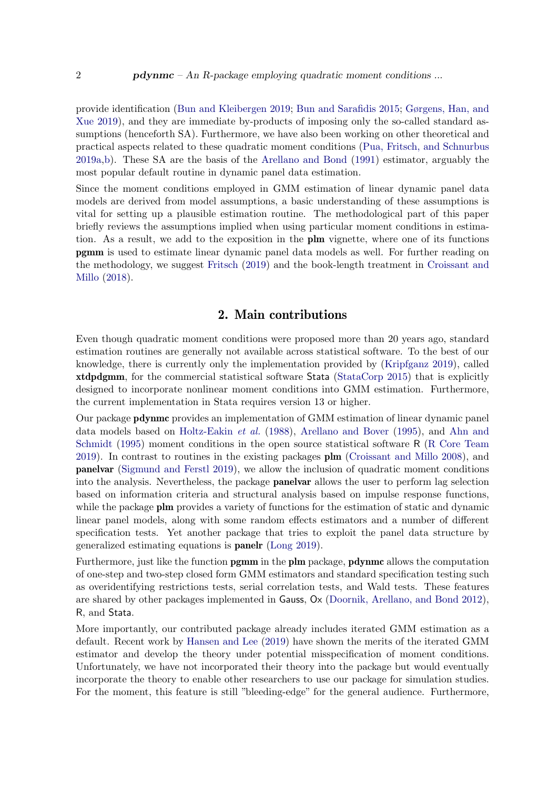provide identification [\(Bun and Kleibergen](#page-21-4) [2019;](#page-21-4) [Bun and Sarafidis](#page-21-5) [2015;](#page-21-5) [Gørgens, Han, and](#page-22-2) [Xue](#page-22-2) [2019\)](#page-22-2), and they are immediate by-products of imposing only the so-called standard assumptions (henceforth SA). Furthermore, we have also been working on other theoretical and practical aspects related to these quadratic moment conditions [\(Pua, Fritsch, and Schnurbus](#page-23-0) [2019a](#page-23-0)[,b\)](#page-23-1). These SA are the basis of the [Arellano and Bond](#page-21-1) [\(1991\)](#page-21-1) estimator, arguably the most popular default routine in dynamic panel data estimation.

Since the moment conditions employed in GMM estimation of linear dynamic panel data models are derived from model assumptions, a basic understanding of these assumptions is vital for setting up a plausible estimation routine. The methodological part of this paper briefly reviews the assumptions implied when using particular moment conditions in estimation. As a result, we add to the exposition in the plm vignette, where one of its functions pgmm is used to estimate linear dynamic panel data models as well. For further reading on the methodology, we suggest [Fritsch](#page-22-3) [\(2019\)](#page-22-3) and the book-length treatment in [Croissant and](#page-21-6) [Millo](#page-21-6) [\(2018\)](#page-21-6).

### 2. Main contributions

Even though quadratic moment conditions were proposed more than 20 years ago, standard estimation routines are generally not available across statistical software. To the best of our knowledge, there is currently only the implementation provided by [\(Kripfganz](#page-22-4) [2019\)](#page-22-4), called xtdpdgmm, for the commercial statistical software Stata [\(StataCorp](#page-23-2) [2015\)](#page-23-2) that is explicitly designed to incorporate nonlinear moment conditions into GMM estimation. Furthermore, the current implementation in Stata requires version 13 or higher.

Our package pdynmc provides an implementation of GMM estimation of linear dynamic panel data models based on [Holtz-Eakin](#page-22-1) et al. [\(1988\)](#page-22-1), [Arellano and Bover](#page-21-3) [\(1995\)](#page-21-3), and [Ahn and](#page-21-0) [Schmidt](#page-21-0) [\(1995\)](#page-21-0) moment conditions in the open source statistical software R [\(R Core Team](#page-23-3) [2019\)](#page-23-3). In contrast to routines in the existing packages plm [\(Croissant and Millo](#page-21-7) [2008\)](#page-21-7), and panelvar [\(Sigmund and Ferstl](#page-23-4) [2019\)](#page-23-4), we allow the inclusion of quadratic moment conditions into the analysis. Nevertheless, the package panelvar allows the user to perform lag selection based on information criteria and structural analysis based on impulse response functions, while the package **plm** provides a variety of functions for the estimation of static and dynamic linear panel models, along with some random effects estimators and a number of different specification tests. Yet another package that tries to exploit the panel data structure by generalized estimating equations is panelr [\(Long](#page-22-5) [2019\)](#page-22-5).

Furthermore, just like the function pgmm in the plm package, pdynmc allows the computation of one-step and two-step closed form GMM estimators and standard specification testing such as overidentifying restrictions tests, serial correlation tests, and Wald tests. These features are shared by other packages implemented in Gauss, Ox [\(Doornik, Arellano, and Bond](#page-21-8) [2012\)](#page-21-8), R, and Stata.

More importantly, our contributed package already includes iterated GMM estimation as a default. Recent work by [Hansen and Lee](#page-22-6) [\(2019\)](#page-22-6) have shown the merits of the iterated GMM estimator and develop the theory under potential misspecification of moment conditions. Unfortunately, we have not incorporated their theory into the package but would eventually incorporate the theory to enable other researchers to use our package for simulation studies. For the moment, this feature is still "bleeding-edge" for the general audience. Furthermore,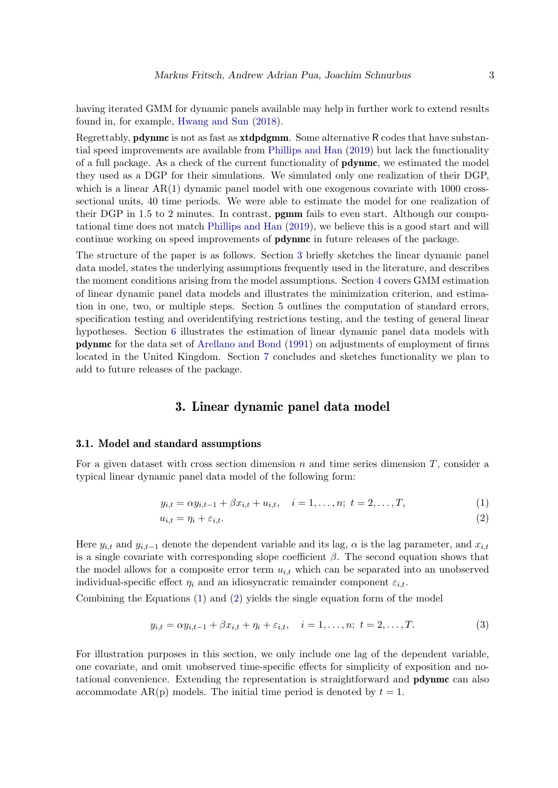having iterated GMM for dynamic panels available may help in further work to extend results found in, for example, [Hwang and Sun](#page-22-7) [\(2018\)](#page-22-7).

Regrettably, pdynmc is not as fast as xtdpdgmm. Some alternative R codes that have substantial speed improvements are available from [Phillips and Han](#page-23-5) [\(2019\)](#page-23-5) but lack the functionality of a full package. As a check of the current functionality of pdynmc, we estimated the model they used as a DGP for their simulations. We simulated only one realization of their DGP, which is a linear  $AR(1)$  dynamic panel model with one exogenous covariate with 1000 crosssectional units, 40 time periods. We were able to estimate the model for one realization of their DGP in 1.5 to 2 minutes. In contrast, pgmm fails to even start. Although our computational time does not match [Phillips and Han](#page-23-5) [\(2019\)](#page-23-5), we believe this is a good start and will continue working on speed improvements of pdynmc in future releases of the package.

The structure of the paper is as follows. Section [3](#page-2-0) briefly sketches the linear dynamic panel data model, states the underlying assumptions frequently used in the literature, and describes the moment conditions arising from the model assumptions. Section [4](#page-7-0) covers GMM estimation of linear dynamic panel data models and illustrates the minimization criterion, and estimation in one, two, or multiple steps. Section 5 outlines the computation of standard errors, specification testing and overidentifying restrictions testing, and the testing of general linear hypotheses. Section [6](#page-12-0) illustrates the estimation of linear dynamic panel data models with pdynmc for the data set of [Arellano and Bond](#page-21-1) [\(1991\)](#page-21-1) on adjustments of employment of firms located in the United Kingdom. Section [7](#page-19-0) concludes and sketches functionality we plan to add to future releases of the package.

# <span id="page-2-1"></span>3. Linear dynamic panel data model

#### <span id="page-2-0"></span>3.1. Model and standard assumptions

For a given dataset with cross section dimension  $n$  and time series dimension  $T$ , consider a typical linear dynamic panel data model of the following form:

$$
y_{i,t} = \alpha y_{i,t-1} + \beta x_{i,t} + u_{i,t}, \quad i = 1, \dots, n; \ t = 2, \dots, T,
$$
 (1)

<span id="page-2-2"></span>
$$
u_{i,t} = \eta_i + \varepsilon_{i,t}.\tag{2}
$$

Here  $y_{i,t}$  and  $y_{i,t-1}$  denote the dependent variable and its lag,  $\alpha$  is the lag parameter, and  $x_{i,t}$ is a single covariate with corresponding slope coefficient  $\beta$ . The second equation shows that the model allows for a composite error term  $u_{i,t}$  which can be separated into an unobserved individual-specific effect  $\eta_i$  and an idiosyncratic remainder component  $\varepsilon_{i,t}$ .

Combining the Equations [\(1\)](#page-2-1) and [\(2\)](#page-2-2) yields the single equation form of the model

<span id="page-2-3"></span>
$$
y_{i,t} = \alpha y_{i,t-1} + \beta x_{i,t} + \eta_i + \varepsilon_{i,t}, \quad i = 1, ..., n; \ t = 2, ..., T.
$$
 (3)

For illustration purposes in this section, we only include one lag of the dependent variable, one covariate, and omit unobserved time-specific effects for simplicity of exposition and notational convenience. Extending the representation is straightforward and pdynmc can also accommodate  $AR(p)$  models. The initial time period is denoted by  $t = 1$ .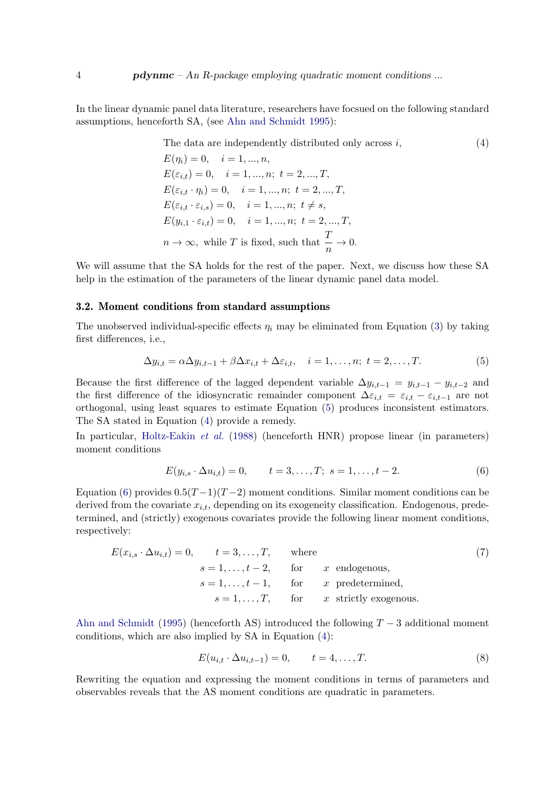In the linear dynamic panel data literature, researchers have focsued on the following standard assumptions, henceforth SA, (see [Ahn and Schmidt](#page-21-0) [1995\)](#page-21-0):

> <span id="page-3-1"></span>The data are independently distributed only across  $i$ ,  $(4)$  $E(\eta_i) = 0, \quad i = 1, ..., n,$  $E(\varepsilon_{i,t}) = 0, \quad i = 1, ..., n; \ t = 2, ..., T,$  $E(\varepsilon_{i,t} \cdot \eta_i) = 0, \quad i = 1, ..., n; t = 2, ..., T,$  $E(\varepsilon_{i,t} \cdot \varepsilon_{i,s}) = 0, \quad i = 1, ..., n; t \neq s,$  $E(y_{i,1} \cdot \varepsilon_{i,t}) = 0, \quad i = 1, ..., n; t = 2, ..., T,$  $n \to \infty$ , while T is fixed, such that  $\frac{T}{n} \to 0$ .

We will assume that the SA holds for the rest of the paper. Next, we discuss how these SA help in the estimation of the parameters of the linear dynamic panel data model.

#### 3.2. Moment conditions from standard assumptions

The unobserved individual-specific effects  $\eta_i$  may be eliminated from Equation [\(3\)](#page-2-3) by taking first differences, i.e.,

<span id="page-3-0"></span>
$$
\Delta y_{i,t} = \alpha \Delta y_{i,t-1} + \beta \Delta x_{i,t} + \Delta \varepsilon_{i,t}, \quad i = 1, \dots, n; \ t = 2, \dots, T. \tag{5}
$$

Because the first difference of the lagged dependent variable  $\Delta y_{i,t-1} = y_{i,t-1} - y_{i,t-2}$  and the first difference of the idiosyncratic remainder component  $\Delta \varepsilon_{i,t} = \varepsilon_{i,t} - \varepsilon_{i,t-1}$  are not orthogonal, using least squares to estimate Equation [\(5\)](#page-3-0) produces inconsistent estimators. The SA stated in Equation [\(4\)](#page-3-1) provide a remedy.

In particular, [Holtz-Eakin](#page-22-1) et al. [\(1988\)](#page-22-1) (henceforth HNR) propose linear (in parameters) moment conditions

<span id="page-3-2"></span>
$$
E(y_{i,s} \cdot \Delta u_{i,t}) = 0, \qquad t = 3, \dots, T; \ s = 1, \dots, t - 2. \tag{6}
$$

Equation [\(6\)](#page-3-2) provides  $0.5(T-1)(T-2)$  moment conditions. Similar moment conditions can be derived from the covariate  $x_{i,t}$ , depending on its exogeneity classification. Endogenous, predetermined, and (strictly) exogenous covariates provide the following linear moment conditions, respectively:

$$
E(x_{i,s} \cdot \Delta u_{i,t}) = 0, \qquad t = 3, \dots, T, \qquad \text{where}
$$
  
\n
$$
s = 1, \dots, t - 2, \qquad \text{for} \qquad x \text{ endogenous},
$$
  
\n
$$
s = 1, \dots, t - 1, \qquad \text{for} \qquad x \text{ predetermined},
$$
  
\n
$$
s = 1, \dots, T, \qquad \text{for} \qquad x \text{ strictly exogenous}.
$$
 (7)

[Ahn and Schmidt](#page-21-0) [\(1995\)](#page-21-0) (henceforth AS) introduced the following  $T-3$  additional moment conditions, which are also implied by SA in Equation [\(4\)](#page-3-1):

<span id="page-3-4"></span><span id="page-3-3"></span>
$$
E(u_{i,t} \cdot \Delta u_{i,t-1}) = 0, \qquad t = 4, \dots, T. \tag{8}
$$

Rewriting the equation and expressing the moment conditions in terms of parameters and observables reveals that the AS moment conditions are quadratic in parameters.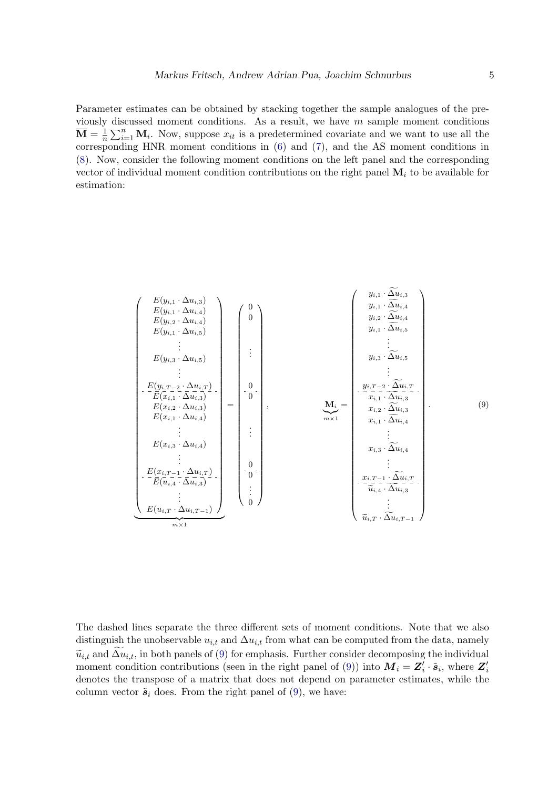Parameter estimates can be obtained by stacking together the sample analogues of the previously discussed moment conditions. As a result, we have  $m$  sample moment conditions  $\overline{\mathbf{M}} = \frac{1}{n}$  $\frac{1}{n}\sum_{i=1}^n \mathbf{M}_i$ . Now, suppose  $x_{it}$  is a predetermined covariate and we want to use all the corresponding HNR moment conditions in [\(6\)](#page-3-2) and [\(7\)](#page-3-3), and the AS moment conditions in [\(8\)](#page-3-4). Now, consider the following moment conditions on the left panel and the corresponding vector of individual moment condition contributions on the right panel  $M_i$  to be available for estimation:

<span id="page-4-0"></span> E(yi,<sup>1</sup> · ∆ui,3) E(yi,<sup>1</sup> · ∆ui,4) E(yi,<sup>2</sup> · ∆ui,4) E(yi,<sup>1</sup> · ∆ui,5) . . . E(yi,<sup>3</sup> · ∆ui,5) . . . E(yi,T <sup>−</sup><sup>2</sup> · ∆ui,T ) E(xi,<sup>1</sup> · ∆ui,3) E(xi,<sup>2</sup> · ∆ui,3) E(xi,<sup>1</sup> · ∆ui,4) . . . E(xi,<sup>3</sup> · ∆ui,4) . . . E(xi,T <sup>−</sup><sup>1</sup> · ∆ui,T ) E(ui,<sup>4</sup> · ∆ui,3) . . . E(ui,T · ∆ui,T <sup>−</sup>1) | {z } m×1 = 0 0 . . . 0 0 . . . 0 0 . . . 0 , M<sup>i</sup> |{z} m×1 = <sup>y</sup>i,<sup>1</sup> · <sup>∆</sup>fui,<sup>3</sup> <sup>y</sup>i,<sup>1</sup> · <sup>∆</sup>fui,<sup>4</sup> <sup>y</sup>i,<sup>2</sup> · <sup>∆</sup>fui,<sup>4</sup> <sup>y</sup>i,<sup>1</sup> · <sup>∆</sup>fui,<sup>5</sup> . . . <sup>y</sup>i,<sup>3</sup> · <sup>∆</sup>fui,<sup>5</sup> . . . <sup>y</sup>i,T <sup>−</sup><sup>2</sup> · <sup>∆</sup>fui,T <sup>x</sup>i,<sup>1</sup> · <sup>∆</sup>fui,<sup>3</sup> <sup>x</sup>i,<sup>2</sup> · <sup>∆</sup>fui,<sup>3</sup> <sup>x</sup>i,<sup>1</sup> · <sup>∆</sup>fui,<sup>4</sup> . . . <sup>x</sup>i,<sup>3</sup> · <sup>∆</sup>fui,<sup>4</sup> . . . <sup>x</sup>i,T <sup>−</sup><sup>1</sup> · <sup>∆</sup>fui,T <sup>u</sup>ei,<sup>4</sup> · <sup>∆</sup>fui,<sup>3</sup> . . . <sup>u</sup>ei,T · <sup>∆</sup>fui,T <sup>−</sup><sup>1</sup> . (9)

The dashed lines separate the three different sets of moment conditions. Note that we also distinguish the unobservable  $u_{i,t}$  and  $\Delta u_{i,t}$  from what can be computed from the data, namely  $\tilde{u}_{i,t}$  and  $\Delta u_{i,t}$ , in both panels of [\(9\)](#page-4-0) for emphasis. Further consider decomposing the individual moment condition contributions (seen in the right panel of [\(9\)](#page-4-0)) into  $M_i = Z'_i \cdot \tilde{s}_i$ , where  $Z'_i$ denotes the transpose of a matrix that does not depend on parameter estimates, while the column vector  $\tilde{s}_i$  does. From the right panel of [\(9\)](#page-4-0), we have: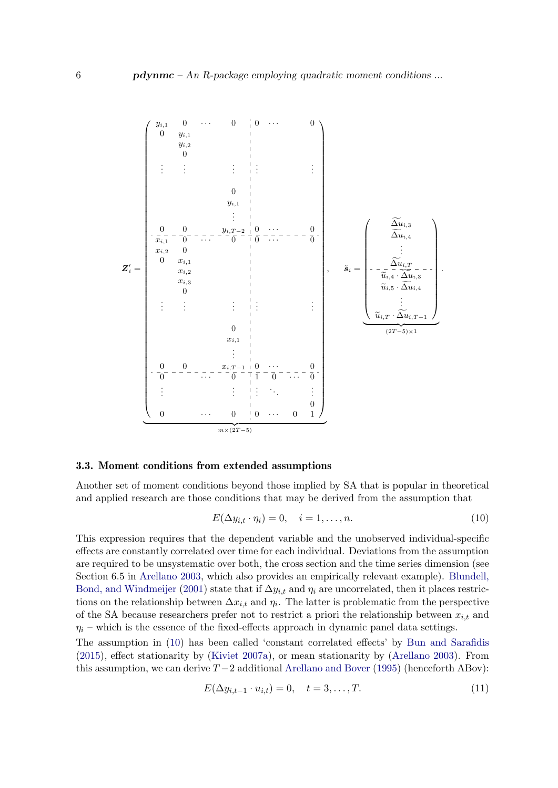Z 0 <sup>i</sup> = yi,<sup>1</sup> 0 · · · 0 0 · · · 0 0 yi,<sup>1</sup> yi,<sup>2</sup> 0 . . . . . . . . . . . . . . . 0 yi,<sup>1</sup> . . . 0 0 yi,T <sup>−</sup><sup>2</sup> 0 · · · 0 xi,<sup>1</sup> 0 · · · 0 0 · · · 0 xi,<sup>2</sup> 0 0 xi,<sup>1</sup> xi,<sup>2</sup> xi,<sup>3</sup> 0 . . . . . . . . . . . . . . . 0 xi,<sup>1</sup> . . . 0 0 xi,T <sup>−</sup><sup>1</sup> 0 · · · 0 0 · · · 0 1 0 · · · 0 . . . . . . . . . . . . . . . 0 0 · · · 0 0 · · · 0 1 | {z } m×(2T −5) , s˜<sup>i</sup> = <sup>∆</sup>fui,<sup>3</sup> <sup>∆</sup>fui,<sup>4</sup> . . . <sup>∆</sup>fui,T <sup>u</sup>ei,<sup>4</sup> · <sup>∆</sup>fui,<sup>3</sup> <sup>u</sup>ei,<sup>5</sup> · <sup>∆</sup>fui,<sup>4</sup> . . . <sup>u</sup>ei,T · <sup>∆</sup>fui,T <sup>−</sup><sup>1</sup> | {z } (2T −5)×1 .

### <span id="page-5-1"></span>3.3. Moment conditions from extended assumptions

Another set of moment conditions beyond those implied by SA that is popular in theoretical and applied research are those conditions that may be derived from the assumption that

<span id="page-5-0"></span>
$$
E(\Delta y_{i,t} \cdot \eta_i) = 0, \quad i = 1, \dots, n. \tag{10}
$$

This expression requires that the dependent variable and the unobserved individual-specific effects are constantly correlated over time for each individual. Deviations from the assumption are required to be unsystematic over both, the cross section and the time series dimension (see Section 6.5 in [Arellano](#page-21-9) [2003,](#page-21-9) which also provides an empirically relevant example). [Blundell,](#page-21-10) [Bond, and Windmeijer](#page-21-10) [\(2001\)](#page-21-10) state that if  $\Delta y_{i,t}$  and  $\eta_i$  are uncorrelated, then it places restrictions on the relationship between  $\Delta x_{i,t}$  and  $\eta_i$ . The latter is problematic from the perspective of the SA because researchers prefer not to restrict a priori the relationship between  $x_{i,t}$  and  $\eta_i$  – which is the essence of the fixed-effects approach in dynamic panel data settings.

The assumption in [\(10\)](#page-5-0) has been called 'constant correlated effects' by [Bun and Sarafidis](#page-21-5) [\(2015\)](#page-21-5), effect stationarity by [\(Kiviet](#page-22-8) [2007a\)](#page-22-8), or mean stationarity by [\(Arellano](#page-21-9) [2003\)](#page-21-9). From this assumption, we can derive  $T-2$  additional [Arellano and Bover](#page-21-3) [\(1995\)](#page-21-3) (henceforth ABov):

$$
E(\Delta y_{i,t-1} \cdot u_{i,t}) = 0, \quad t = 3, \dots, T. \tag{11}
$$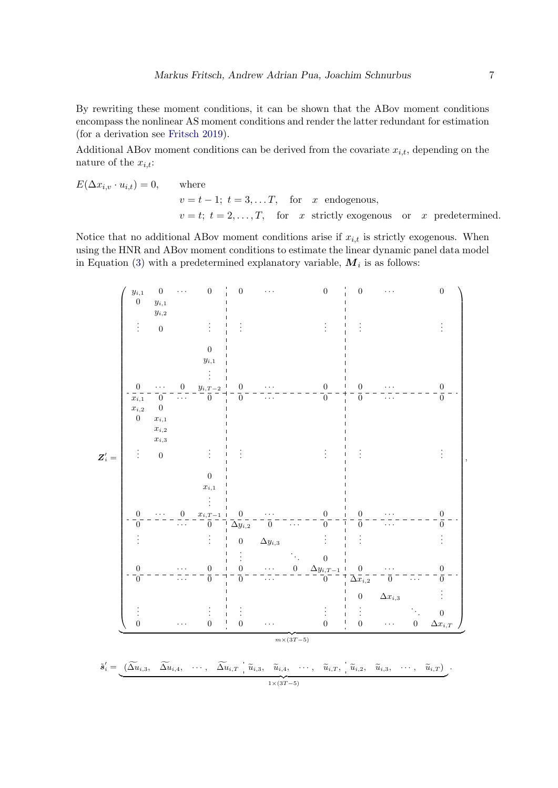By rewriting these moment conditions, it can be shown that the ABov moment conditions encompass the nonlinear AS moment conditions and render the latter redundant for estimation (for a derivation see [Fritsch](#page-22-3) [2019\)](#page-22-3).

Additional ABov moment conditions can be derived from the covariate  $x_{i,t}$ , depending on the nature of the  $x_{i,t}$ :

$$
E(\Delta x_{i,v} \cdot u_{i,t}) = 0, \qquad \text{where}
$$
  
\n
$$
v = t - 1; t = 3, \dots, T, \quad \text{for} \quad x \text{ endogenous},
$$
  
\n
$$
v = t; t = 2, \dots, T, \quad \text{for} \quad x \text{ strictly exogenous} \quad \text{or} \quad x \text{ predetermined}.
$$

Notice that no additional ABov moment conditions arise if  $x_{i,t}$  is strictly exogenous. When using the HNR and ABov moment conditions to estimate the linear dynamic panel data model in Equation [\(3\)](#page-2-3) with a predetermined explanatory variable,  $M_i$  is as follows:

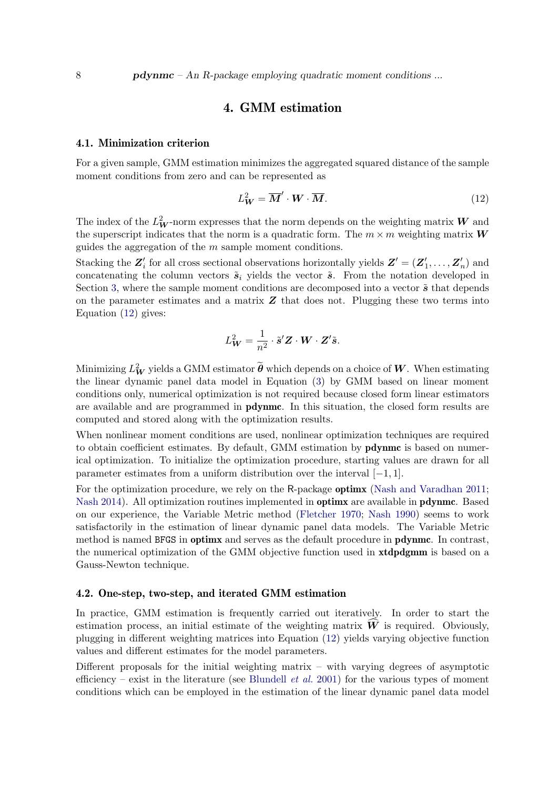# 4. GMM estimation

#### <span id="page-7-0"></span>4.1. Minimization criterion

For a given sample, GMM estimation minimizes the aggregated squared distance of the sample moment conditions from zero and can be represented as

<span id="page-7-1"></span>
$$
L_W^2 = \overline{M}' \cdot W \cdot \overline{M}.
$$
 (12)

The index of the  $L^2_W$ -norm expresses that the norm depends on the weighting matrix  $W$  and the superscript indicates that the norm is a quadratic form. The  $m \times m$  weighting matrix  $W$ guides the aggregation of the  $m$  sample moment conditions.

Stacking the  $\mathbf{Z}'_i$  for all cross sectional observations horizontally yields  $\mathbf{Z}' = (\mathbf{Z}'_1, \dots, \mathbf{Z}'_n)$  and concatenating the column vectors  $\tilde{s}_i$  yields the vector  $\tilde{s}$ . From the notation developed in Section [3,](#page-2-0) where the sample moment conditions are decomposed into a vector  $\tilde{s}$  that depends on the parameter estimates and a matrix  $Z$  that does not. Plugging these two terms into Equation [\(12\)](#page-7-1) gives:

$$
L^2_{\mathbf{W}} = \frac{1}{n^2} \cdot \tilde{\mathbf{s}}' \mathbf{Z} \cdot \mathbf{W} \cdot \mathbf{Z}' \tilde{\mathbf{s}}.
$$

Minimizing  $L^2_W$  yields a GMM estimator  $\tilde{\theta}$  which depends on a choice of W. When estimating the linear dynamic panel data model in Equation [\(3\)](#page-2-3) by GMM based on linear moment conditions only, numerical optimization is not required because closed form linear estimators are available and are programmed in pdynmc. In this situation, the closed form results are computed and stored along with the optimization results.

When nonlinear moment conditions are used, nonlinear optimization techniques are required to obtain coefficient estimates. By default, GMM estimation by **pdynmc** is based on numerical optimization. To initialize the optimization procedure, starting values are drawn for all parameter estimates from a uniform distribution over the interval  $[-1, 1]$ .

For the optimization procedure, we rely on the R-package **optimi** [\(Nash and Varadhan](#page-23-6) [2011;](#page-23-6) [Nash](#page-22-9) [2014\)](#page-22-9). All optimization routines implemented in **optimx** are available in **pdynmc**. Based on our experience, the Variable Metric method [\(Fletcher](#page-21-11) [1970;](#page-21-11) [Nash](#page-22-10) [1990\)](#page-22-10) seems to work satisfactorily in the estimation of linear dynamic panel data models. The Variable Metric method is named BFGS in optimx and serves as the default procedure in pdynmc. In contrast, the numerical optimization of the GMM objective function used in **xtdpdgmm** is based on a Gauss-Newton technique.

### <span id="page-7-2"></span>4.2. One-step, two-step, and iterated GMM estimation

In practice, GMM estimation is frequently carried out iteratively. In order to start the estimation process, an initial estimate of the weighting matrix  $W$  is required. Obviously, plugging in different weighting matrices into Equation [\(12\)](#page-7-1) yields varying objective function values and different estimates for the model parameters.

Different proposals for the initial weighting matrix  $-$  with varying degrees of asymptotic efficiency – exist in the literature (see [Blundell](#page-21-10) *et al.* [2001\)](#page-21-10) for the various types of moment conditions which can be employed in the estimation of the linear dynamic panel data model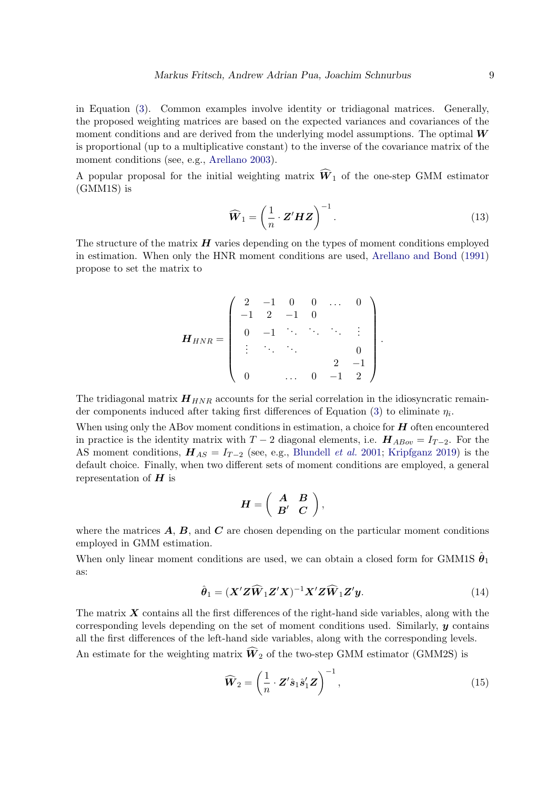in Equation [\(3\)](#page-2-3). Common examples involve identity or tridiagonal matrices. Generally, the proposed weighting matrices are based on the expected variances and covariances of the moment conditions and are derived from the underlying model assumptions. The optimal  $W$ is proportional (up to a multiplicative constant) to the inverse of the covariance matrix of the moment conditions (see, e.g., [Arellano](#page-21-9) [2003\)](#page-21-9).

A popular proposal for the initial weighting matrix  $\widehat{W}_1$  of the one-step GMM estimator (GMM1S) is

<span id="page-8-0"></span>
$$
\widehat{\boldsymbol{W}}_1 = \left(\frac{1}{n} \cdot \boldsymbol{Z}' \boldsymbol{H} \boldsymbol{Z}\right)^{-1}.
$$
\n(13)

The structure of the matrix  $H$  varies depending on the types of moment conditions employed in estimation. When only the HNR moment conditions are used, [Arellano and Bond](#page-21-1) [\(1991\)](#page-21-1) propose to set the matrix to

$$
\boldsymbol{H}_{HNR} = \left( \begin{array}{cccccc} 2 & -1 & 0 & 0 & \dots & 0 \\ -1 & 2 & -1 & 0 & & & \\ 0 & -1 & \ddots & \ddots & \ddots & \vdots \\ \vdots & \ddots & \ddots & & 0 \\ 0 & & \dots & 0 & -1 & 2 \end{array} \right).
$$

The tridiagonal matrix  $H_{HNR}$  accounts for the serial correlation in the idiosyncratic remain-der components induced after taking first differences of Equation [\(3\)](#page-2-3) to eliminate  $\eta_i$ .

When using only the ABov moment conditions in estimation, a choice for  $H$  often encountered in practice is the identity matrix with  $T-2$  diagonal elements, i.e.  $\boldsymbol{H}_{ABov} = I_{T-2}$ . For the AS moment conditions,  $H_{AS} = I_{T-2}$  (see, e.g., [Blundell](#page-21-10) *et al.* [2001;](#page-21-10) [Kripfganz](#page-22-4) [2019\)](#page-22-4) is the default choice. Finally, when two different sets of moment conditions are employed, a general representation of  $H$  is

$$
\boldsymbol{H}=\left(\begin{array}{cc} \boldsymbol{A}&\boldsymbol{B}\\ \boldsymbol{B}'&\boldsymbol{C}\end{array}\right),
$$

where the matrices  $\bf{A}$ ,  $\bf{B}$ , and  $\bf{C}$  are chosen depending on the particular moment conditions employed in GMM estimation.

When only linear moment conditions are used, we can obtain a closed form for GMM1S  $\hat{\theta}_1$ as:

$$
\hat{\theta}_1 = (\mathbf{X}' \mathbf{Z} \widehat{\mathbf{W}}_1 \mathbf{Z}' \mathbf{X})^{-1} \mathbf{X}' \mathbf{Z} \widehat{\mathbf{W}}_1 \mathbf{Z}' \mathbf{y}.
$$
 (14)

The matrix  $\boldsymbol{X}$  contains all the first differences of the right-hand side variables, along with the corresponding levels depending on the set of moment conditions used. Similarly,  $\boldsymbol{y}$  contains all the first differences of the left-hand side variables, along with the corresponding levels.

An estimate for the weighting matrix  $\widehat{W}_2$  of the two-step GMM estimator (GMM2S) is

$$
\widehat{\boldsymbol{W}}_2 = \left(\frac{1}{n} \cdot \boldsymbol{Z}' \hat{\boldsymbol{s}}_1 \hat{\boldsymbol{s}}'_1 \boldsymbol{Z}\right)^{-1},\tag{15}
$$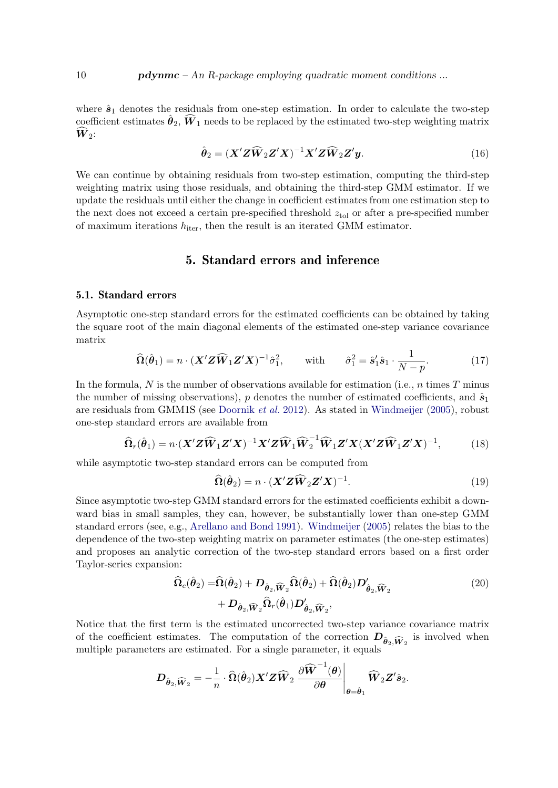where  $\hat{s}_1$  denotes the residuals from one-step estimation. In order to calculate the two-step coefficient estimates  $\hat{\theta}_2$ ,  $\widehat{W}_1$  needs to be replaced by the estimated two-step weighting matrix  $\hat{W}_2$ :

$$
\hat{\boldsymbol{\theta}}_2 = (\boldsymbol{X}' \boldsymbol{Z} \widehat{\boldsymbol{W}}_2 \boldsymbol{Z}' \boldsymbol{X})^{-1} \boldsymbol{X}' \boldsymbol{Z} \widehat{\boldsymbol{W}}_2 \boldsymbol{Z}' \boldsymbol{y}.
$$
\n(16)

We can continue by obtaining residuals from two-step estimation, computing the third-step weighting matrix using those residuals, and obtaining the third-step GMM estimator. If we update the residuals until either the change in coefficient estimates from one estimation step to the next does not exceed a certain pre-specified threshold  $z_{tol}$  or after a pre-specified number of maximum iterations  $h_{\text{iter}}$ , then the result is an iterated GMM estimator.

# 5. Standard errors and inference

### 5.1. Standard errors

Asymptotic one-step standard errors for the estimated coefficients can be obtained by taking the square root of the main diagonal elements of the estimated one-step variance covariance matrix

$$
\widehat{\Omega}(\widehat{\boldsymbol{\theta}}_1) = n \cdot (\boldsymbol{X}' \boldsymbol{Z} \widehat{\boldsymbol{W}}_1 \boldsymbol{Z}' \boldsymbol{X})^{-1} \widehat{\sigma}_1^2, \quad \text{with} \quad \widehat{\sigma}_1^2 = \widehat{\boldsymbol{s}}_1' \widehat{\boldsymbol{s}}_1 \cdot \frac{1}{N - p}.
$$
 (17)

In the formula,  $N$  is the number of observations available for estimation (i.e.,  $n$  times  $T$  minus the number of missing observations), p denotes the number of estimated coefficients, and  $\hat{s}_1$ are residuals from GMM1S (see [Doornik](#page-21-8) et al. [2012\)](#page-21-8). As stated in [Windmeijer](#page-23-7) [\(2005\)](#page-23-7), robust one-step standard errors are available from

$$
\widehat{\Omega}_r(\widehat{\boldsymbol{\theta}}_1) = n \cdot (\boldsymbol{X}' \boldsymbol{Z} \widehat{\boldsymbol{W}}_1 \boldsymbol{Z}' \boldsymbol{X})^{-1} \boldsymbol{X}' \boldsymbol{Z} \widehat{\boldsymbol{W}}_1 \widehat{\boldsymbol{W}}_2^{-1} \widehat{\boldsymbol{W}}_1 \boldsymbol{Z}' \boldsymbol{X} (\boldsymbol{X}' \boldsymbol{Z} \widehat{\boldsymbol{W}}_1 \boldsymbol{Z}' \boldsymbol{X})^{-1},
$$
(18)

while asymptotic two-step standard errors can be computed from

$$
\widehat{\Omega}(\widehat{\boldsymbol{\theta}}_2) = n \cdot (\boldsymbol{X}' \boldsymbol{Z} \widehat{\boldsymbol{W}}_2 \boldsymbol{Z}' \boldsymbol{X})^{-1}.
$$
\n(19)

Since asymptotic two-step GMM standard errors for the estimated coefficients exhibit a downward bias in small samples, they can, however, be substantially lower than one-step GMM standard errors (see, e.g., [Arellano and Bond](#page-21-1) [1991\)](#page-21-1). [Windmeijer](#page-23-7) [\(2005\)](#page-23-7) relates the bias to the dependence of the two-step weighting matrix on parameter estimates (the one-step estimates) and proposes an analytic correction of the two-step standard errors based on a first order Taylor-series expansion:

$$
\widehat{\Omega}_{c}(\widehat{\boldsymbol{\theta}}_{2}) = \widehat{\Omega}(\widehat{\boldsymbol{\theta}}_{2}) + D_{\widehat{\boldsymbol{\theta}}_{2}, \widehat{\boldsymbol{W}}_{2}} \widehat{\Omega}(\widehat{\boldsymbol{\theta}}_{2}) + \widehat{\Omega}(\widehat{\boldsymbol{\theta}}_{2}) D'_{\widehat{\boldsymbol{\theta}}_{2}, \widehat{\boldsymbol{W}}_{2}} \n+ D_{\widehat{\boldsymbol{\theta}}_{2}, \widehat{\boldsymbol{W}}_{2}} \widehat{\Omega}_{r}(\widehat{\boldsymbol{\theta}}_{1}) D'_{\widehat{\boldsymbol{\theta}}_{2}, \widehat{\boldsymbol{W}}_{2}},
$$
\n(20)

Notice that the first term is the estimated uncorrected two-step variance covariance matrix of the coefficient estimates. The computation of the correction  $D_{\hat{\theta}_2, \widehat{W}_2}$  is involved when multiple parameters are estimated. For a single parameter, it equals

$$
\boldsymbol{D}_{\hat{\boldsymbol{\theta}}_2,\widehat{\boldsymbol{W}}_2}=-\frac{1}{n}\cdot\widehat{\boldsymbol{\Omega}}(\hat{\boldsymbol{\theta}}_2)\boldsymbol{X}'\boldsymbol{Z}\widehat{\boldsymbol{W}}_2\left.\frac{\partial \widehat{\boldsymbol{W}}^{-1}(\boldsymbol{\theta})}{\partial\boldsymbol{\theta}}\right|_{\boldsymbol{\theta}=\hat{\boldsymbol{\theta}}_1}\widehat{\boldsymbol{W}}_2\boldsymbol{Z}'\hat{\boldsymbol{s}}_2.
$$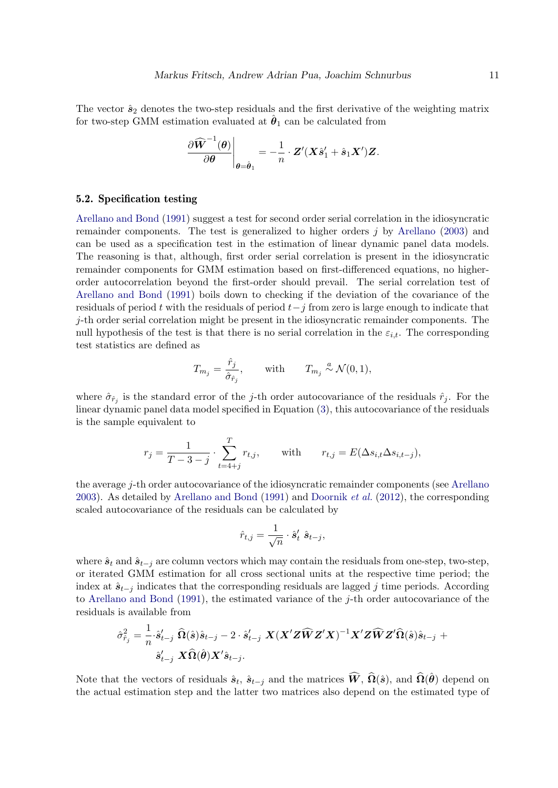The vector  $\hat{\mathbf{s}}_2$  denotes the two-step residuals and the first derivative of the weighting matrix for two-step GMM estimation evaluated at  $\hat{\theta}_1$  can be calculated from

$$
\left.\frac{\partial \widehat{\boldsymbol{W}}^{-1}(\boldsymbol{\theta})}{\partial \boldsymbol{\theta}}\right|_{\boldsymbol{\theta}=\hat{\boldsymbol{\theta}}_1} = -\frac{1}{n}\cdot\boldsymbol{Z}'(\boldsymbol{X}\hat{\boldsymbol{s}}_1'+\hat{\boldsymbol{s}}_1\boldsymbol{X}')\boldsymbol{Z}.
$$

### <span id="page-10-0"></span>5.2. Specification testing

[Arellano and Bond](#page-21-1) [\(1991\)](#page-21-1) suggest a test for second order serial correlation in the idiosyncratic remainder components. The test is generalized to higher orders j by [Arellano](#page-21-9) [\(2003\)](#page-21-9) and can be used as a specification test in the estimation of linear dynamic panel data models. The reasoning is that, although, first order serial correlation is present in the idiosyncratic remainder components for GMM estimation based on first-differenced equations, no higherorder autocorrelation beyond the first-order should prevail. The serial correlation test of [Arellano and Bond](#page-21-1) [\(1991\)](#page-21-1) boils down to checking if the deviation of the covariance of the residuals of period t with the residuals of period  $t-j$  from zero is large enough to indicate that  $j$ -th order serial correlation might be present in the idiosyncratic remainder components. The null hypothesis of the test is that there is no serial correlation in the  $\varepsilon_{i,t}$ . The corresponding test statistics are defined as

$$
T_{m_j} = \frac{\hat{r}_j}{\hat{\sigma}_{\hat{r}_j}}, \quad \text{with} \quad T_{m_j} \stackrel{a}{\sim} \mathcal{N}(0, 1),
$$

where  $\hat{\sigma}_{\hat{r}_j}$  is the standard error of the j-th order autocovariance of the residuals  $\hat{r}_j$ . For the linear dynamic panel data model specified in Equation [\(3\)](#page-2-3), this autocovariance of the residuals is the sample equivalent to

$$
r_j = \frac{1}{T-3-j} \cdot \sum_{t=4+j}^T r_{t,j}, \quad \text{with} \quad r_{t,j} = E(\Delta s_{i,t} \Delta s_{i,t-j}),
$$

the average j-th order autocovariance of the idiosyncratic remainder components (see [Arellano](#page-21-9) [2003\)](#page-21-9). As detailed by [Arellano and Bond](#page-21-1) [\(1991\)](#page-21-1) and [Doornik](#page-21-8) et al. [\(2012\)](#page-21-8), the corresponding scaled autocovariance of the residuals can be calculated by

$$
\hat{r}_{t,j} = \frac{1}{\sqrt{n}} \cdot \hat{s}'_t \hat{s}_{t-j},
$$

where  $\hat{\mathbf{s}}_t$  and  $\hat{\mathbf{s}}_{t-j}$  are column vectors which may contain the residuals from one-step, two-step, or iterated GMM estimation for all cross sectional units at the respective time period; the index at  $\hat{s}_{t-j}$  indicates that the corresponding residuals are lagged j time periods. According to [Arellano and Bond](#page-21-1) [\(1991\)](#page-21-1), the estimated variance of the j-th order autocovariance of the residuals is available from

$$
\begin{aligned} \hat{\sigma}^2_{\hat{r}_j} &= \frac{1}{n} \cdot \hat{s}'_{t-j} \ \ \widehat{\Omega}(\hat{s}) \hat{s}_{t-j} - 2 \cdot \hat{s}'_{t-j} \ \ \boldsymbol{X} (\boldsymbol{X}' \boldsymbol{Z} \widehat{\boldsymbol{W}} \boldsymbol{Z}' \boldsymbol{X})^{-1} \boldsymbol{X}' \boldsymbol{Z} \widehat{\boldsymbol{W}} \boldsymbol{Z}' \widehat{\Omega}(\hat{s}) \hat{s}_{t-j} \ + \\ & \hat{s}'_{t-j} \ \ \boldsymbol{X} \widehat{\Omega}(\hat{\boldsymbol{\theta}}) \boldsymbol{X}' \hat{s}_{t-j}. \end{aligned}
$$

Note that the vectors of residuals  $\hat{s}_t$ ,  $\hat{s}_{t-j}$  and the matrices  $\widehat{W}$ ,  $\widehat{\Omega}(\hat{s})$ , and  $\widehat{\Omega}(\hat{\theta})$  depend on the actual estimation step and the latter two matrices also depend on the estimated type of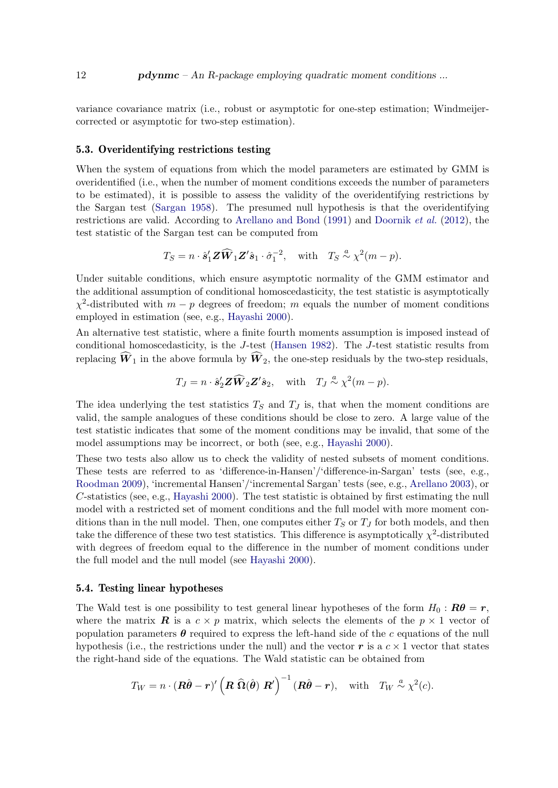variance covariance matrix (i.e., robust or asymptotic for one-step estimation; Windmeijercorrected or asymptotic for two-step estimation).

#### <span id="page-11-0"></span>5.3. Overidentifying restrictions testing

When the system of equations from which the model parameters are estimated by GMM is overidentified (i.e., when the number of moment conditions exceeds the number of parameters to be estimated), it is possible to assess the validity of the overidentifying restrictions by the Sargan test [\(Sargan](#page-23-8) [1958\)](#page-23-8). The presumed null hypothesis is that the overidentifying restrictions are valid. According to [Arellano and Bond](#page-21-1) [\(1991\)](#page-21-1) and [Doornik](#page-21-8) et al. [\(2012\)](#page-21-8), the test statistic of the Sargan test can be computed from

$$
T_S = n \cdot \hat{\mathbf{s}}_1' \mathbf{Z} \widehat{\mathbf{W}}_1 \mathbf{Z}' \hat{\mathbf{s}}_1 \cdot \hat{\sigma}_1^{-2}, \text{ with } T_S \stackrel{a}{\sim} \chi^2(m-p).
$$

Under suitable conditions, which ensure asymptotic normality of the GMM estimator and the additional assumption of conditional homoscedasticity, the test statistic is asymptotically  $\chi^2$ -distributed with  $m-p$  degrees of freedom; m equals the number of moment conditions employed in estimation (see, e.g., [Hayashi](#page-22-11) [2000\)](#page-22-11).

An alternative test statistic, where a finite fourth moments assumption is imposed instead of conditional homoscedasticity, is the J-test [\(Hansen](#page-22-12) [1982\)](#page-22-12). The J-test statistic results from replacing  $\hat{W}_1$  in the above formula by  $\hat{W}_2$ , the one-step residuals by the two-step residuals,

$$
T_J = n \cdot \hat{\mathbf{s}}_2' \mathbf{Z} \widehat{\mathbf{W}}_2 \mathbf{Z}' \hat{\mathbf{s}}_2
$$
, with  $T_J \stackrel{a}{\sim} \chi^2(m-p)$ .

The idea underlying the test statistics  $T<sub>S</sub>$  and  $T<sub>J</sub>$  is, that when the moment conditions are valid, the sample analogues of these conditions should be close to zero. A large value of the test statistic indicates that some of the moment conditions may be invalid, that some of the model assumptions may be incorrect, or both (see, e.g., [Hayashi](#page-22-11) [2000\)](#page-22-11).

These two tests also allow us to check the validity of nested subsets of moment conditions. These tests are referred to as 'difference-in-Hansen'/'difference-in-Sargan' tests (see, e.g., [Roodman](#page-23-9) [2009\)](#page-23-9), 'incremental Hansen'/'incremental Sargan' tests (see, e.g., [Arellano](#page-21-9) [2003\)](#page-21-9), or C-statistics (see, e.g., [Hayashi](#page-22-11) [2000\)](#page-22-11). The test statistic is obtained by first estimating the null model with a restricted set of moment conditions and the full model with more moment conditions than in the null model. Then, one computes either  $T<sub>S</sub>$  or  $T<sub>J</sub>$  for both models, and then take the difference of these two test statistics. This difference is asymptotically  $\chi^2$ -distributed with degrees of freedom equal to the difference in the number of moment conditions under the full model and the null model (see [Hayashi](#page-22-11) [2000\)](#page-22-11).

#### <span id="page-11-1"></span>5.4. Testing linear hypotheses

The Wald test is one possibility to test general linear hypotheses of the form  $H_0 : \mathbf{R}\theta = \mathbf{r}$ , where the matrix **R** is a  $c \times p$  matrix, which selects the elements of the  $p \times 1$  vector of population parameters  $\theta$  required to express the left-hand side of the c equations of the null hypothesis (i.e., the restrictions under the null) and the vector r is a  $c \times 1$  vector that states the right-hand side of the equations. The Wald statistic can be obtained from

$$
T_W = n \cdot (\mathbf{R}\hat{\boldsymbol{\theta}} - \mathbf{r})' (\mathbf{R} \widehat{\Omega}(\hat{\boldsymbol{\theta}}) \mathbf{R}')^{-1} (\mathbf{R}\hat{\boldsymbol{\theta}} - \mathbf{r}), \text{ with } T_W \stackrel{a}{\sim} \chi^2(c).
$$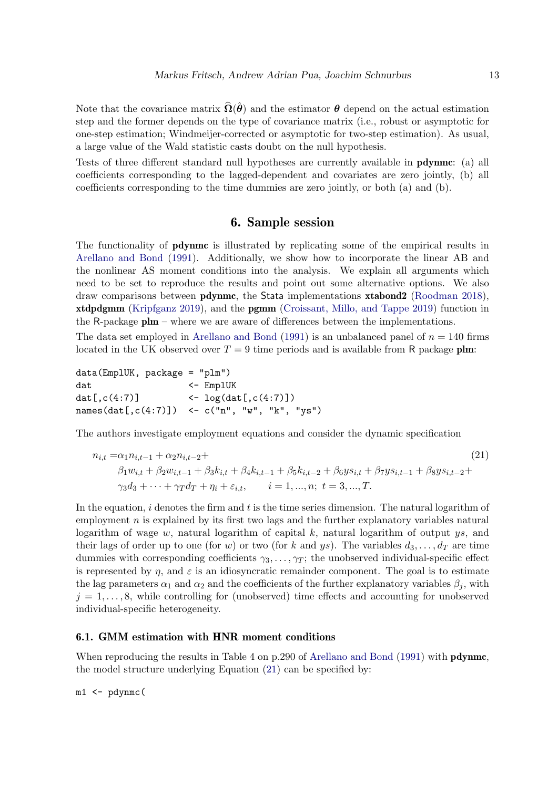Note that the covariance matrix  $\hat{\Omega}(\hat{\theta})$  and the estimator  $\theta$  depend on the actual estimation step and the former depends on the type of covariance matrix (i.e., robust or asymptotic for one-step estimation; Windmeijer-corrected or asymptotic for two-step estimation). As usual, a large value of the Wald statistic casts doubt on the null hypothesis.

Tests of three different standard null hypotheses are currently available in pdynmc: (a) all coefficients corresponding to the lagged-dependent and covariates are zero jointly, (b) all coefficients corresponding to the time dummies are zero jointly, or both (a) and (b).

# <span id="page-12-1"></span>6. Sample session

<span id="page-12-0"></span>The functionality of **pdynmc** is illustrated by replicating some of the empirical results in [Arellano and Bond](#page-21-1) [\(1991\)](#page-21-1). Additionally, we show how to incorporate the linear AB and the nonlinear AS moment conditions into the analysis. We explain all arguments which need to be set to reproduce the results and point out some alternative options. We also draw comparisons between pdynmc, the Stata implementations xtabond2 [\(Roodman](#page-23-10) [2018\)](#page-23-10), xtdpdgmm [\(Kripfganz](#page-22-4) [2019\)](#page-22-4), and the pgmm [\(Croissant, Millo, and Tappe](#page-21-12) [2019\)](#page-21-12) function in the R-package plm – where we are aware of differences between the implementations.

The data set employed in [Arellano and Bond](#page-21-1) [\(1991\)](#page-21-1) is an unbalanced panel of  $n = 140$  firms located in the UK observed over  $T = 9$  time periods and is available from R package plm:

data(EmplUK, package = "plm") dat <- EmplUK dat $[,c(4:7)]$  <- log(dat $[,c(4:7)]$ ) names(dat[,c(4:7)]) <- c("n", "w", "k", "ys")

The authors investigate employment equations and consider the dynamic specification

$$
n_{i,t} = \alpha_1 n_{i,t-1} + \alpha_2 n_{i,t-2} +
$$
  
\n
$$
\beta_1 w_{i,t} + \beta_2 w_{i,t-1} + \beta_3 k_{i,t} + \beta_4 k_{i,t-1} + \beta_5 k_{i,t-2} + \beta_6 y s_{i,t} + \beta_7 y s_{i,t-1} + \beta_8 y s_{i,t-2} +
$$
  
\n
$$
\gamma_3 d_3 + \dots + \gamma_T d_T + \eta_i + \varepsilon_{i,t}, \qquad i = 1, \dots, n; \ t = 3, \dots, T.
$$
\n(21)

In the equation,  $i$  denotes the firm and  $t$  is the time series dimension. The natural logarithm of employment  $n$  is explained by its first two lags and the further explanatory variables natural logarithm of wage w, natural logarithm of capital k, natural logarithm of output  $ys$ , and their lags of order up to one (for w) or two (for k and ys). The variables  $d_3, \ldots, d_T$  are time dummies with corresponding coefficients  $\gamma_3, \ldots, \gamma_T$ ; the unobserved individual-specific effect is represented by  $\eta$ , and  $\varepsilon$  is an idiosyncratic remainder component. The goal is to estimate the lag parameters  $\alpha_1$  and  $\alpha_2$  and the coefficients of the further explanatory variables  $\beta_i$ , with  $j = 1, \ldots, 8$ , while controlling for (unobserved) time effects and accounting for unobserved individual-specific heterogeneity.

### <span id="page-12-2"></span>6.1. GMM estimation with HNR moment conditions

When reproducing the results in Table 4 on p.290 of [Arellano and Bond](#page-21-1) [\(1991\)](#page-21-1) with **pdynmc**, the model structure underlying Equation [\(21\)](#page-12-1) can be specified by:

 $m1$  <- pdynmc(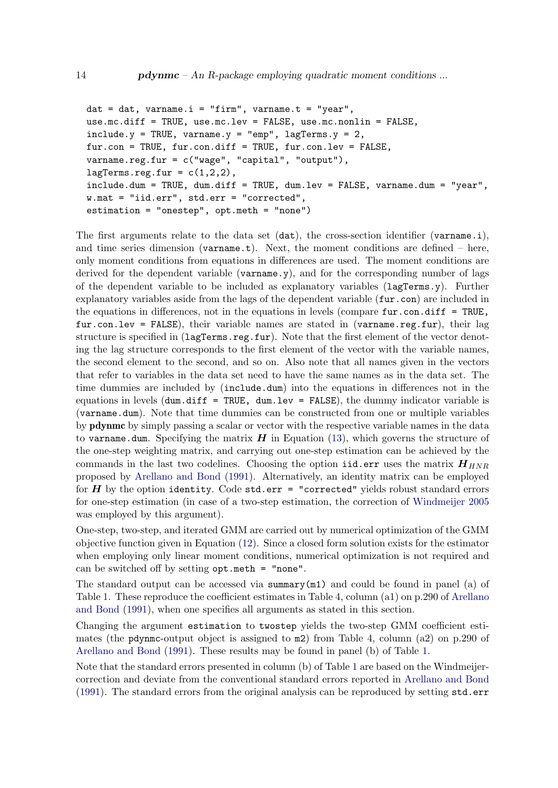```
dat = dat, varname.i = "firm", varname.t = "year",
use.mc.diff = TRUE, use.mc.lev = FALSE, use.mc.nonlin = FALSE,
include.y = TRUE, varname.y = "emp", lagTerms.y = 2,fur.con = TRUE, fur.con.diff = TRUE, fur.con.lev = FALSE,
varname.reg.fur = c("wage", "capital", "output"),
lagTerms.read.fur = c(1,2,2),include.dum = TRUE, dum.diff = TRUE, dum.lev = FALSE, varname.dum = "year",
w.mat = "iid.err", std.err = "corrected",
estimation = "onestep", opt.meth = "none")
```
The first arguments relate to the data set (dat), the cross-section identifier (varname.i), and time series dimension (varname.t). Next, the moment conditions are defined – here, only moment conditions from equations in differences are used. The moment conditions are derived for the dependent variable (varname.y), and for the corresponding number of lags of the dependent variable to be included as explanatory variables (lagTerms.y). Further explanatory variables aside from the lags of the dependent variable (fur.con) are included in the equations in differences, not in the equations in levels (compare fur.con.diff = TRUE,  $fur.com.lev = FALSE$ , their variable names are stated in (varname.reg.fur), their lag structure is specified in (lagTerms.reg.fur). Note that the first element of the vector denoting the lag structure corresponds to the first element of the vector with the variable names, the second element to the second, and so on. Also note that all names given in the vectors that refer to variables in the data set need to have the same names as in the data set. The time dummies are included by (include.dum) into the equations in differences not in the equations in levels  $($ dum.diff = TRUE, dum.lev = FALSE), the dummy indicator variable is (varname.dum). Note that time dummies can be constructed from one or multiple variables by pdynmc by simply passing a scalar or vector with the respective variable names in the data to varname.dum. Specifying the matrix  $H$  in Equation [\(13\)](#page-8-0), which governs the structure of the one-step weighting matrix, and carrying out one-step estimation can be achieved by the commands in the last two codelines. Choosing the option iid.err uses the matrix  $H_{HNR}$ proposed by [Arellano and Bond](#page-21-1) [\(1991\)](#page-21-1). Alternatively, an identity matrix can be employed for  $H$  by the option identity. Code std.err = "corrected" yields robust standard errors for one-step estimation (in case of a two-step estimation, the correction of [Windmeijer](#page-23-7) [2005](#page-23-7) was employed by this argument).

One-step, two-step, and iterated GMM are carried out by numerical optimization of the GMM objective function given in Equation [\(12\)](#page-7-1). Since a closed form solution exists for the estimator when employing only linear moment conditions, numerical optimization is not required and can be switched off by setting opt.meth = "none".

The standard output can be accessed via summary $(m1)$  and could be found in panel (a) of Table [1.](#page-15-0) These reproduce the coefficient estimates in Table 4, column (a1) on p.290 of [Arellano](#page-21-1) [and Bond](#page-21-1) [\(1991\)](#page-21-1), when one specifies all arguments as stated in this section.

Changing the argument estimation to twostep yields the two-step GMM coefficient estimates (the pdynmc-output object is assigned to m2) from Table 4, column (a2) on p.290 of [Arellano and Bond](#page-21-1) [\(1991\)](#page-21-1). These results may be found in panel (b) of Table [1.](#page-15-0)

Note that the standard errors presented in column (b) of Table [1](#page-15-0) are based on the Windmeijercorrection and deviate from the conventional standard errors reported in [Arellano and Bond](#page-21-1) [\(1991\)](#page-21-1). The standard errors from the original analysis can be reproduced by setting std.err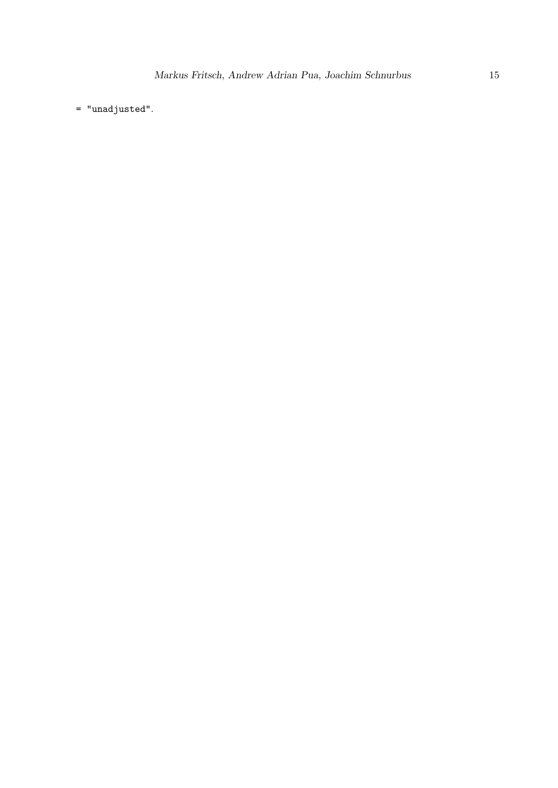= "unadjusted".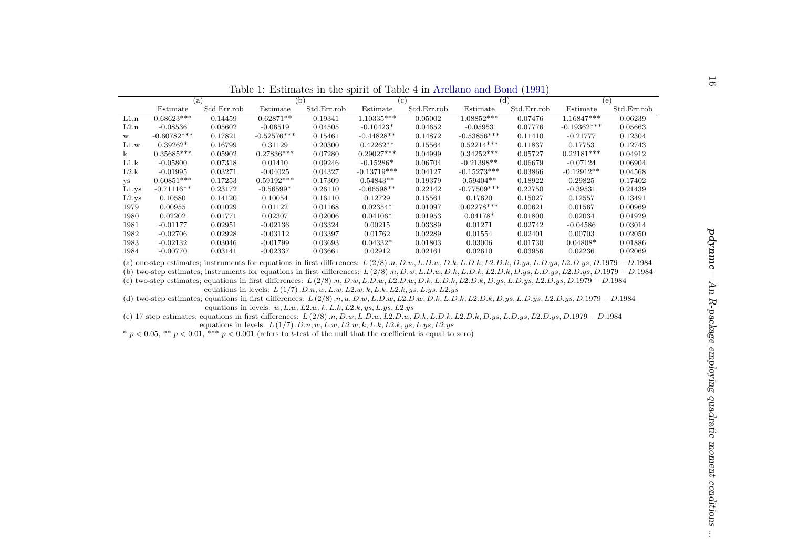<span id="page-15-0"></span>

|                         |                         |                                                                                                                                                             |                             | Table 1: Estimates in the spirit of Table 4 in Arellano and Bond (1991)           |                             |                    |                         |                    |                       |                    |
|-------------------------|-------------------------|-------------------------------------------------------------------------------------------------------------------------------------------------------------|-----------------------------|-----------------------------------------------------------------------------------|-----------------------------|--------------------|-------------------------|--------------------|-----------------------|--------------------|
|                         |                         | (a)                                                                                                                                                         | (b)                         |                                                                                   |                             | (c)                |                         | (d)                | (e)                   |                    |
|                         | Estimate                | Std.Err.rob                                                                                                                                                 | Estimate                    | Std.Err.rob                                                                       | Estimate                    | Std.Err.rob        | Estimate                | Std.Err.rob        | Estimate              | Std.Err.rob        |
| L1.n                    | $0.68623***$            | 0.14459                                                                                                                                                     | $0.62871**$                 | 0.19341                                                                           | $1.10335***$                | 0.05002            | $1.08852***$            | 0.07476            | $1.16847***$          | 0.06239            |
| L2.n                    | $-0.08536$              | 0.05602                                                                                                                                                     | $-0.06519$                  | 0.04505                                                                           | $-0.10423*$                 | 0.04652            | $-0.05953$              | 0.07776            | $-0.19362***$         | 0.05663            |
| $\ensuremath{\text{W}}$ | $-0.60782***$           | 0.17821                                                                                                                                                     | $-0.52576***$               | 0.15461                                                                           | $-0.44828**$                | 0.14872            | $-0.53856***$           | 0.11410            | $-0.21777$            | 0.12304            |
| L1.w                    | $0.39262*$              | 0.16799                                                                                                                                                     | 0.31129                     | 0.20300                                                                           | $0.42262**$                 | 0.15564            | $0.52214***$            | 0.11837            | 0.17753               | 0.12743            |
| $\mathbf{k}$            | $0.35685***$            | 0.05902                                                                                                                                                     | $0.27836***$                | 0.07280                                                                           | $0.29027***$                | 0.04999            | $0.34252***$            | 0.05727            | $0.22181***$          | 0.04912            |
| L1.k                    | $-0.05800$              | 0.07318                                                                                                                                                     | 0.01410                     | 0.09246                                                                           | $-0.15286*$                 | 0.06704            | $-0.21398**$            | 0.06679            | $-0.07124$            | 0.06904            |
| L2.k                    | $-0.01995$              | 0.03271                                                                                                                                                     | $-0.04025$                  | 0.04327                                                                           | $-0.13719***$               | 0.04127            | $-0.15273***$           | 0.03866            | $-0.12912**$          | 0.04568            |
| ys                      | $0.60851***$            | 0.17253                                                                                                                                                     | $0.59192***$<br>$-0.56599*$ | 0.17309                                                                           | $0.54843**$<br>$-0.66598**$ | 0.19379            | $0.59404**$             | 0.18922            | 0.29825               | 0.17402            |
| $L1$ .ys                | $-0.71116**$<br>0.10580 | 0.23172                                                                                                                                                     |                             | 0.26110<br>0.16110                                                                | 0.12729                     | 0.22142            | $-0.77509***$           | 0.22750<br>0.15027 | $-0.39531$<br>0.12557 | 0.21439            |
| L2.ys                   |                         | 0.14120                                                                                                                                                     | 0.10054                     |                                                                                   | $0.02354*$                  | 0.15561<br>0.01097 | 0.17620<br>$0.02278***$ |                    |                       | 0.13491<br>0.00969 |
| 1979<br>1980            | 0.00955<br>0.02202      | 0.01029<br>0.01771                                                                                                                                          | 0.01122<br>0.02307          | 0.01168<br>0.02006                                                                | $0.04106*$                  | 0.01953            | $0.04178*$              | 0.00621<br>0.01800 | 0.01567<br>0.02034    | 0.01929            |
| 1981                    | $-0.01177$              | 0.02951                                                                                                                                                     | $-0.02136$                  | 0.03324                                                                           | 0.00215                     | 0.03389            | 0.01271                 | 0.02742            | $-0.04586$            | 0.03014            |
| 1982                    | $-0.02706$              | 0.02928                                                                                                                                                     | $-0.03112$                  | 0.03397                                                                           | 0.01762                     | 0.02289            | 0.01554                 | 0.02401            | 0.00703               | 0.02050            |
| 1983                    | $-0.02132$              | 0.03046                                                                                                                                                     | $-0.01799$                  | 0.03693                                                                           | $0.04332*$                  | 0.01803            | 0.03006                 | 0.01730            | $0.04808*$            | 0.01886            |
| 1984                    | $-0.00770$              | 0.03141                                                                                                                                                     | $-0.02337$                  | 0.03661                                                                           | 0.02912                     | 0.02161            | 0.02610                 | 0.03956            | 0.02236               | 0.02069            |
|                         |                         | (a) one-step estimates; instruments for equations in first differences: $L(2/8)$ n, D.w, L.D.w, D.k, L.D.k, L2.D.k, D.ys, L.D.ys, L2.D.ys, D.1979 - D.1984  |                             |                                                                                   |                             |                    |                         |                    |                       |                    |
|                         |                         | (b) two-step estimates; instruments for equations in first differences: $L(2/8)$ .n, D.w, L.D.w, D.k, L.D.k, L.D.k, D.ys, L.D.ys, L.2.D.ys, D.1979 - D.1984 |                             |                                                                                   |                             |                    |                         |                    |                       |                    |
|                         |                         | (c) two-step estimates; equations in first differences: $L(2/8)$ .n, D.w, L.D.w, L.2.D.w, D.k, L.D.k, L.2.D.k, D.ys, L.D.ys, L.2.D.ys, D.1979 - D.1984      |                             |                                                                                   |                             |                    |                         |                    |                       |                    |
|                         |                         |                                                                                                                                                             |                             | equations in levels: $L(1/7)$ . $D.n, w, L.w, L2.w, k, L.k, L2.k, ys, L.y, L2.ys$ |                             |                    |                         |                    |                       |                    |
|                         |                         | (d) two-step estimates; equations in first differences: $L(2/8)$ .n,u,D.w,L.D.w,L.D.w,D.k,L.D.k,L.D.k,D.ys,L.D.ys,L.D.ys,L2.D.ys,D.1979 - D.1984            |                             |                                                                                   |                             |                    |                         |                    |                       |                    |
|                         |                         |                                                                                                                                                             |                             | equations in levels: $w, L.w, L2.w, k, L.k, L2.k, ys, L.ys, L2.ys$                |                             |                    |                         |                    |                       |                    |
|                         |                         | (e) 17 step estimates; equations in first differences: $L(2/8)$ .n, D.w, L.D.w, L2.D.w, D.k, L.D.k, L2.D.k, D.ys, L.D.ys, L2.D.ys, D.1979 - D.1984          |                             |                                                                                   |                             |                    |                         |                    |                       |                    |
|                         |                         |                                                                                                                                                             |                             | equations in levels: $L(1/7)$ . $D.n, w, L.w, L2.w, k, L.k, L2.k, ys, L.y, L2.ys$ |                             |                    |                         |                    |                       |                    |
|                         |                         | * $p < 0.05$ , ** $p < 0.01$ , *** $p < 0.001$ (refers to t-test of the null that the coefficient is equal to zero)                                         |                             |                                                                                   |                             |                    |                         |                    |                       |                    |
|                         |                         |                                                                                                                                                             |                             |                                                                                   |                             |                    |                         |                    |                       |                    |
|                         |                         |                                                                                                                                                             |                             |                                                                                   |                             |                    |                         |                    |                       |                    |
|                         |                         |                                                                                                                                                             |                             |                                                                                   |                             |                    |                         |                    |                       |                    |
|                         |                         |                                                                                                                                                             |                             |                                                                                   |                             |                    |                         |                    |                       |                    |
|                         |                         |                                                                                                                                                             |                             |                                                                                   |                             |                    |                         |                    |                       |                    |
|                         |                         |                                                                                                                                                             |                             |                                                                                   |                             |                    |                         |                    |                       |                    |
|                         |                         |                                                                                                                                                             |                             |                                                                                   |                             |                    |                         |                    |                       |                    |
|                         |                         |                                                                                                                                                             |                             |                                                                                   |                             |                    |                         |                    |                       |                    |
|                         |                         |                                                                                                                                                             |                             |                                                                                   |                             |                    |                         |                    |                       |                    |
|                         |                         |                                                                                                                                                             |                             |                                                                                   |                             |                    |                         |                    |                       |                    |
|                         |                         |                                                                                                                                                             |                             |                                                                                   |                             |                    |                         |                    |                       |                    |
|                         |                         |                                                                                                                                                             |                             |                                                                                   |                             |                    |                         |                    |                       |                    |
|                         |                         |                                                                                                                                                             |                             |                                                                                   |                             |                    |                         |                    |                       |                    |
|                         |                         |                                                                                                                                                             |                             |                                                                                   |                             |                    |                         |                    |                       |                    |
|                         |                         |                                                                                                                                                             |                             |                                                                                   |                             |                    |                         |                    |                       |                    |
|                         |                         |                                                                                                                                                             |                             |                                                                                   |                             |                    |                         |                    |                       |                    |
|                         |                         |                                                                                                                                                             |                             |                                                                                   |                             |                    |                         |                    |                       |                    |
|                         |                         |                                                                                                                                                             |                             |                                                                                   |                             |                    |                         |                    |                       |                    |
|                         |                         |                                                                                                                                                             |                             |                                                                                   |                             |                    |                         |                    |                       |                    |
|                         |                         |                                                                                                                                                             |                             |                                                                                   |                             |                    |                         |                    |                       |                    |
|                         |                         |                                                                                                                                                             |                             |                                                                                   |                             |                    |                         |                    |                       |                    |
|                         |                         |                                                                                                                                                             |                             |                                                                                   |                             |                    |                         |                    |                       |                    |
|                         |                         |                                                                                                                                                             |                             |                                                                                   |                             |                    |                         |                    |                       |                    |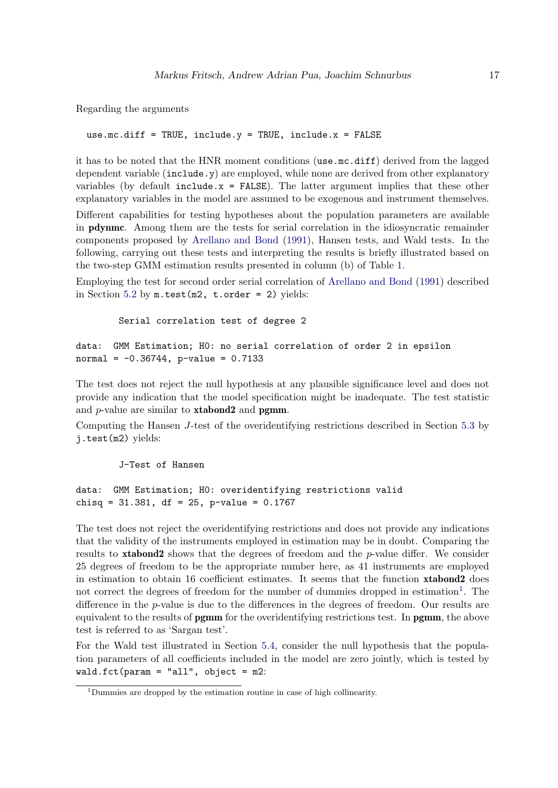Regarding the arguments

```
use.mc.diff = TRUE, include.y = TRUE, include.x = FALSE
```
it has to be noted that the HNR moment conditions (use.mc.diff) derived from the lagged dependent variable (include.y) are employed, while none are derived from other explanatory variables (by default  $include x = FALSE$ ). The latter argument implies that these other explanatory variables in the model are assumed to be exogenous and instrument themselves.

Different capabilities for testing hypotheses about the population parameters are available in pdynmc. Among them are the tests for serial correlation in the idiosyncratic remainder components proposed by [Arellano and Bond](#page-21-1) [\(1991\)](#page-21-1), Hansen tests, and Wald tests. In the following, carrying out these tests and interpreting the results is briefly illustrated based on the two-step GMM estimation results presented in column (b) of Table [1.](#page-15-0)

Employing the test for second order serial correlation of [Arellano and Bond](#page-21-1) [\(1991\)](#page-21-1) described in Section [5.2](#page-10-0) by  $m.test(m2, t.order = 2)$  yields:

Serial correlation test of degree 2

```
data: GMM Estimation; H0: no serial correlation of order 2 in epsilon
normal = -0.36744, p-value = 0.7133
```
The test does not reject the null hypothesis at any plausible significance level and does not provide any indication that the model specification might be inadequate. The test statistic and  $p$ -value are similar to **xtabond2** and **pgmm**.

Computing the Hansen J-test of the overidentifying restrictions described in Section [5.3](#page-11-0) by j.test(m2) yields:

J-Test of Hansen

data: GMM Estimation; H0: overidentifying restrictions valid chisq = 31.381, df = 25, p-value = 0.1767

The test does not reject the overidentifying restrictions and does not provide any indications that the validity of the instruments employed in estimation may be in doubt. Comparing the results to **xtabond2** shows that the degrees of freedom and the  $p$ -value differ. We consider 25 degrees of freedom to be the appropriate number here, as 41 instruments are employed in estimation to obtain 16 coefficient estimates. It seems that the function xtabond2 does not correct the degrees of freedom for the number of dummies dropped in estimation<sup>[1](#page-16-0)</sup>. The difference in the p-value is due to the differences in the degrees of freedom. Our results are equivalent to the results of **pgmm** for the overidentifying restrictions test. In **pgmm**, the above test is referred to as 'Sargan test'.

For the Wald test illustrated in Section [5.4,](#page-11-1) consider the null hypothesis that the population parameters of all coefficients included in the model are zero jointly, which is tested by wald.fct( $param = "all", object = m2$ :

<span id="page-16-0"></span> $^1\rm{Dummies}$  are dropped by the estimation routine in case of high collinearity.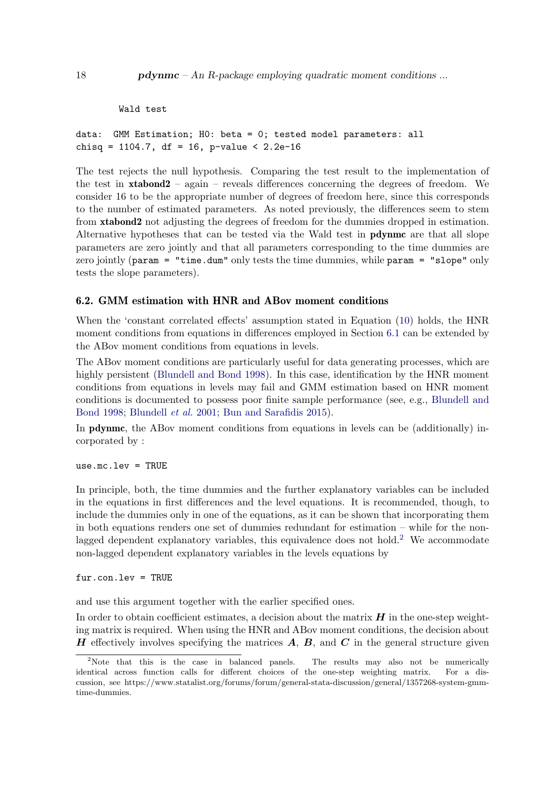```
Wald test
```

```
data: GMM Estimation; H0: beta = 0; tested model parameters: all
chisq = 1104.7, df = 16, p-value < 2.2e-16
```
The test rejects the null hypothesis. Comparing the test result to the implementation of the test in  $xtabond2 - again - reveals differences concerning the degrees of freedom. We$ consider 16 to be the appropriate number of degrees of freedom here, since this corresponds to the number of estimated parameters. As noted previously, the differences seem to stem from xtabond2 not adjusting the degrees of freedom for the dummies dropped in estimation. Alternative hypotheses that can be tested via the Wald test in pdynmc are that all slope parameters are zero jointly and that all parameters corresponding to the time dummies are zero jointly (param = "time.dum" only tests the time dummies, while param = "slope" only tests the slope parameters).

### 6.2. GMM estimation with HNR and ABov moment conditions

When the 'constant correlated effects' assumption stated in Equation [\(10\)](#page-5-0) holds, the HNR moment conditions from equations in differences employed in Section [6.1](#page-12-2) can be extended by the ABov moment conditions from equations in levels.

The ABov moment conditions are particularly useful for data generating processes, which are highly persistent [\(Blundell and Bond](#page-21-14) [1998\)](#page-21-14). In this case, identification by the HNR moment conditions from equations in levels may fail and GMM estimation based on HNR moment conditions is documented to possess poor finite sample performance (see, e.g., [Blundell and](#page-21-14) [Bond](#page-21-14) [1998;](#page-21-14) [Blundell](#page-21-10) et al. [2001;](#page-21-10) [Bun and Sarafidis](#page-21-5) [2015\)](#page-21-5).

In **pdynmc**, the ABov moment conditions from equations in levels can be (additionally) incorporated by :

use.mc.lev = TRUE

In principle, both, the time dummies and the further explanatory variables can be included in the equations in first differences and the level equations. It is recommended, though, to include the dummies only in one of the equations, as it can be shown that incorporating them in both equations renders one set of dummies redundant for estimation – while for the non-lagged dependent explanatory variables, this equivalence does not hold.<sup>[2](#page-17-0)</sup> We accommodate non-lagged dependent explanatory variables in the levels equations by

fur.con.lev = TRUE

and use this argument together with the earlier specified ones.

In order to obtain coefficient estimates, a decision about the matrix  $H$  in the one-step weighting matrix is required. When using the HNR and ABov moment conditions, the decision about **H** effectively involves specifying the matrices  $\vec{A}$ ,  $\vec{B}$ , and  $\vec{C}$  in the general structure given

<span id="page-17-0"></span><sup>&</sup>lt;sup>2</sup>Note that this is the case in balanced panels. The results may also not be numerically identical across function calls for different choices of the one-step weighting matrix. For a discussion, see https://www.statalist.org/forums/forum/general-stata-discussion/general/1357268-system-gmmtime-dummies.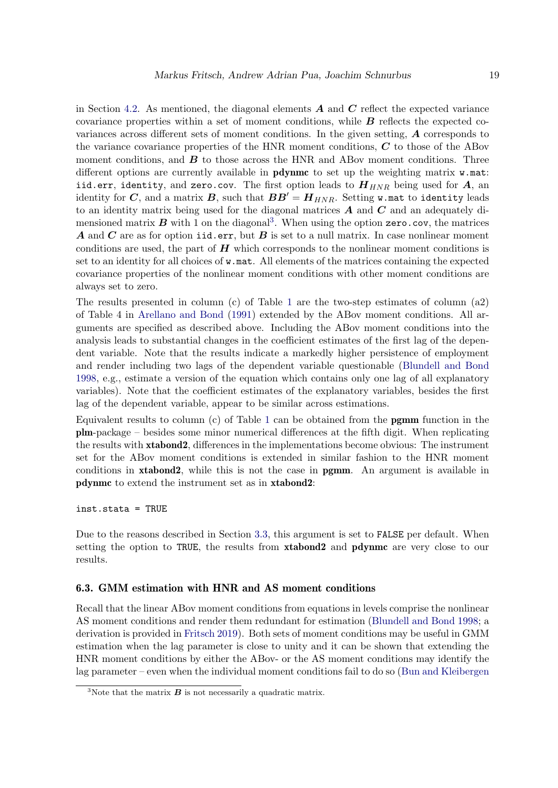in Section [4.2.](#page-7-2) As mentioned, the diagonal elements  $\boldsymbol{A}$  and  $\boldsymbol{C}$  reflect the expected variance covariance properties within a set of moment conditions, while  $\boldsymbol{B}$  reflects the expected covariances across different sets of moment conditions. In the given setting, A corresponds to the variance covariance properties of the HNR moment conditions, C to those of the ABov moment conditions, and  $\boldsymbol{B}$  to those across the HNR and ABov moment conditions. Three different options are currently available in  $\bf{pdynmc}$  to set up the weighting matrix  $\bf{w}$ .mat: iid.err, identity, and zero.cov. The first option leads to  $H_{HNR}$  being used for A, an identity for C, and a matrix B, such that  $BB' = H_{HNR}$ . Setting w.mat to identity leads to an identity matrix being used for the diagonal matrices  $\boldsymbol{A}$  and  $\boldsymbol{C}$  and an adequately dimensioned matrix  $B$  with 1 on the diagonal<sup>[3](#page-18-0)</sup>. When using the option zero.cov, the matrices A and C are as for option iid.err, but B is set to a null matrix. In case nonlinear moment conditions are used, the part of  $H$  which corresponds to the nonlinear moment conditions is set to an identity for all choices of w.mat. All elements of the matrices containing the expected covariance properties of the nonlinear moment conditions with other moment conditions are always set to zero.

The results presented in column (c) of Table [1](#page-15-0) are the two-step estimates of column (a2) of Table 4 in [Arellano and Bond](#page-21-1) [\(1991\)](#page-21-1) extended by the ABov moment conditions. All arguments are specified as described above. Including the ABov moment conditions into the analysis leads to substantial changes in the coefficient estimates of the first lag of the dependent variable. Note that the results indicate a markedly higher persistence of employment and render including two lags of the dependent variable questionable [\(Blundell and Bond](#page-21-14) [1998,](#page-21-14) e.g., estimate a version of the equation which contains only one lag of all explanatory variables). Note that the coefficient estimates of the explanatory variables, besides the first lag of the dependent variable, appear to be similar across estimations.

Equivalent results to column (c) of Table [1](#page-15-0) can be obtained from the pgmm function in the plm-package – besides some minor numerical differences at the fifth digit. When replicating the results with xtabond2, differences in the implementations become obvious: The instrument set for the ABov moment conditions is extended in similar fashion to the HNR moment conditions in xtabond2, while this is not the case in pgmm. An argument is available in pdynmc to extend the instrument set as in xtabond2:

inst.stata = TRUE

Due to the reasons described in Section [3.3,](#page-5-1) this argument is set to FALSE per default. When setting the option to TRUE, the results from xtabond2 and pdynmc are very close to our results.

### 6.3. GMM estimation with HNR and AS moment conditions

Recall that the linear ABov moment conditions from equations in levels comprise the nonlinear AS moment conditions and render them redundant for estimation [\(Blundell and Bond](#page-21-14) [1998;](#page-21-14) a derivation is provided in [Fritsch](#page-22-3) [2019\)](#page-22-3). Both sets of moment conditions may be useful in GMM estimation when the lag parameter is close to unity and it can be shown that extending the HNR moment conditions by either the ABov- or the AS moment conditions may identify the lag parameter – even when the individual moment conditions fail to do so [\(Bun and Kleibergen](#page-21-4)

<span id="page-18-0"></span><sup>&</sup>lt;sup>3</sup>Note that the matrix  $\boldsymbol{B}$  is not necessarily a quadratic matrix.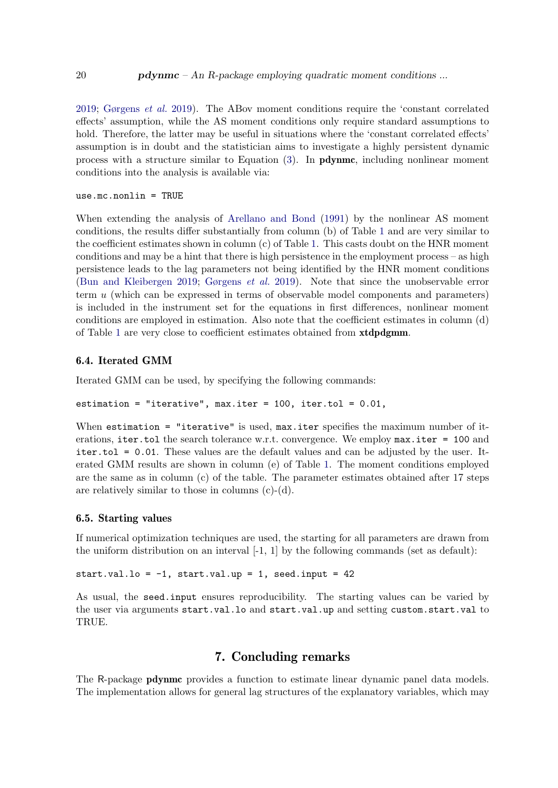[2019;](#page-21-4) [Gørgens](#page-22-2) et al. [2019\)](#page-22-2). The ABov moment conditions require the 'constant correlated effects' assumption, while the AS moment conditions only require standard assumptions to hold. Therefore, the latter may be useful in situations where the 'constant correlated effects' assumption is in doubt and the statistician aims to investigate a highly persistent dynamic process with a structure similar to Equation  $(3)$ . In **pdynmc**, including nonlinear moment conditions into the analysis is available via:

use.mc.nonlin = TRUE

When extending the analysis of [Arellano and Bond](#page-21-1) [\(1991\)](#page-21-1) by the nonlinear AS moment conditions, the results differ substantially from column (b) of Table [1](#page-15-0) and are very similar to the coefficient estimates shown in column (c) of Table [1.](#page-15-0) This casts doubt on the HNR moment conditions and may be a hint that there is high persistence in the employment process – as high persistence leads to the lag parameters not being identified by the HNR moment conditions [\(Bun and Kleibergen](#page-21-4) [2019;](#page-21-4) [Gørgens](#page-22-2) et al. [2019\)](#page-22-2). Note that since the unobservable error term u (which can be expressed in terms of observable model components and parameters) is included in the instrument set for the equations in first differences, nonlinear moment conditions are employed in estimation. Also note that the coefficient estimates in column (d) of Table [1](#page-15-0) are very close to coefficient estimates obtained from xtdpdgmm.

#### 6.4. Iterated GMM

Iterated GMM can be used, by specifying the following commands:

estimation = "iterative", max.iter =  $100$ , iter.tol =  $0.01$ ,

When estimation = "iterative" is used, max.iter specifies the maximum number of iterations, iter.tol the search tolerance w.r.t. convergence. We employ max.iter = 100 and iter.tol = 0.01. These values are the default values and can be adjusted by the user. Iterated GMM results are shown in column (e) of Table [1.](#page-15-0) The moment conditions employed are the same as in column (c) of the table. The parameter estimates obtained after 17 steps are relatively similar to those in columns  $(c)-(d)$ .

#### 6.5. Starting values

If numerical optimization techniques are used, the starting for all parameters are drawn from the uniform distribution on an interval  $[-1, 1]$  by the following commands (set as default):

```
start.val.lo = -1, start.val.up = 1, seed.input = 42
```
As usual, the seed.input ensures reproducibility. The starting values can be varied by the user via arguments start.val.lo and start.val.up and setting custom.start.val to TRUE.

# 7. Concluding remarks

<span id="page-19-0"></span>The R-package pdynmc provides a function to estimate linear dynamic panel data models. The implementation allows for general lag structures of the explanatory variables, which may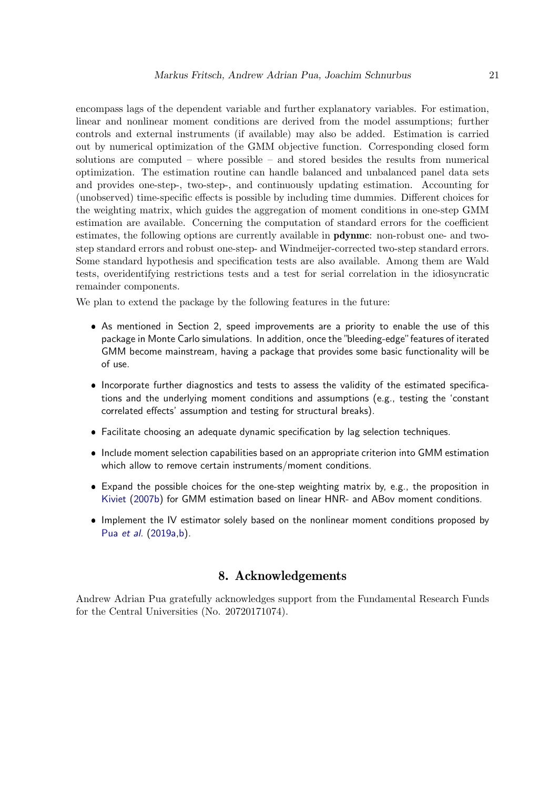encompass lags of the dependent variable and further explanatory variables. For estimation, linear and nonlinear moment conditions are derived from the model assumptions; further controls and external instruments (if available) may also be added. Estimation is carried out by numerical optimization of the GMM objective function. Corresponding closed form solutions are computed – where possible – and stored besides the results from numerical optimization. The estimation routine can handle balanced and unbalanced panel data sets and provides one-step-, two-step-, and continuously updating estimation. Accounting for (unobserved) time-specific effects is possible by including time dummies. Different choices for the weighting matrix, which guides the aggregation of moment conditions in one-step GMM estimation are available. Concerning the computation of standard errors for the coefficient estimates, the following options are currently available in **pdynmc**: non-robust one- and twostep standard errors and robust one-step- and Windmeijer-corrected two-step standard errors. Some standard hypothesis and specification tests are also available. Among them are Wald tests, overidentifying restrictions tests and a test for serial correlation in the idiosyncratic remainder components.

We plan to extend the package by the following features in the future:

- As mentioned in Section 2, speed improvements are a priority to enable the use of this package in Monte Carlo simulations. In addition, once the "bleeding-edge" features of iterated GMM become mainstream, having a package that provides some basic functionality will be of use.
- Incorporate further diagnostics and tests to assess the validity of the estimated specifications and the underlying moment conditions and assumptions (e.g., testing the 'constant correlated effects' assumption and testing for structural breaks).
- Facilitate choosing an adequate dynamic specification by lag selection techniques.
- $\bullet$  Include moment selection capabilities based on an appropriate criterion into GMM estimation which allow to remove certain instruments/moment conditions.
- Expand the possible choices for the one-step weighting matrix by, e.g., the proposition in [Kiviet](#page-22-13) [\(2007b\)](#page-22-13) for GMM estimation based on linear HNR- and ABov moment conditions.
- Implement the IV estimator solely based on the nonlinear moment conditions proposed by Pua [et al.](#page-23-0) [\(2019a,](#page-23-0)[b\)](#page-23-1).

# 8. Acknowledgements

Andrew Adrian Pua gratefully acknowledges support from the Fundamental Research Funds for the Central Universities (No. 20720171074).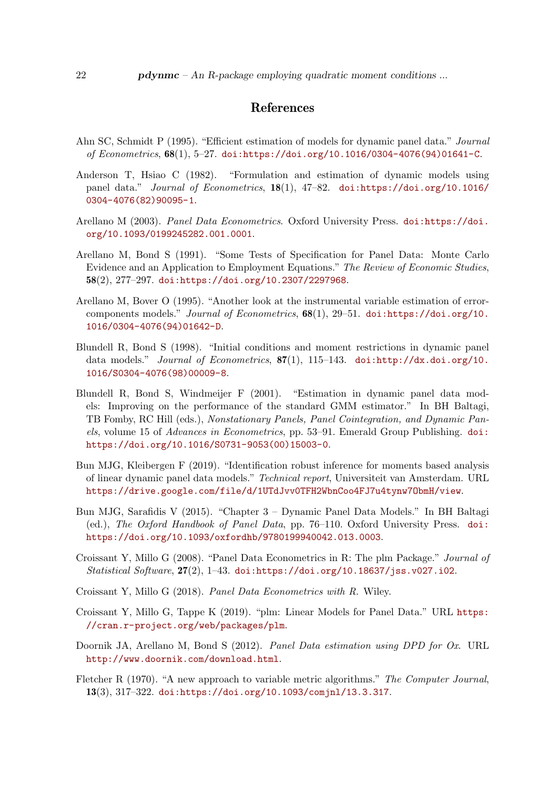# <span id="page-21-13"></span>References

- <span id="page-21-0"></span>Ahn SC, Schmidt P (1995). "Efficient estimation of models for dynamic panel data." *Journal* of Econometrics,  $68(1)$ , 5-27. [doi:https://doi.org/10.1016/0304-4076\(94\)01641-C](http://dx.doi.org/https://doi.org/10.1016/0304-4076(94)01641-C).
- <span id="page-21-2"></span>Anderson T, Hsiao C (1982). "Formulation and estimation of dynamic models using panel data." Journal of Econometrics, 18(1), 47–82. [doi:https://doi.org/10.1016/](http://dx.doi.org/https://doi.org/10.1016/0304-4076(82)90095-1) [0304-4076\(82\)90095-1](http://dx.doi.org/https://doi.org/10.1016/0304-4076(82)90095-1).
- <span id="page-21-9"></span>Arellano M (2003). Panel Data Econometrics. Oxford University Press. [doi:https://doi.](http://dx.doi.org/https://doi.org/10.1093/0199245282.001.0001) [org/10.1093/0199245282.001.0001](http://dx.doi.org/https://doi.org/10.1093/0199245282.001.0001).
- <span id="page-21-1"></span>Arellano M, Bond S (1991). "Some Tests of Specification for Panel Data: Monte Carlo Evidence and an Application to Employment Equations." The Review of Economic Studies, 58(2), 277–297. [doi:https://doi.org/10.2307/2297968](http://dx.doi.org/https://doi.org/10.2307/2297968).
- <span id="page-21-3"></span>Arellano M, Bover O (1995). "Another look at the instrumental variable estimation of errorcomponents models." Journal of Econometrics,  $68(1)$ , 29-51. [doi:https://doi.org/10.](http://dx.doi.org/https://doi.org/10.1016/0304-4076(94)01642-D) [1016/0304-4076\(94\)01642-D](http://dx.doi.org/https://doi.org/10.1016/0304-4076(94)01642-D).
- <span id="page-21-14"></span>Blundell R, Bond S (1998). "Initial conditions and moment restrictions in dynamic panel data models." Journal of Econometrics, 87(1), 115-143. [doi:http://dx.doi.org/10.](http://dx.doi.org/http://dx.doi.org/10.1016/S0304-4076(98)00009-8) [1016/S0304-4076\(98\)00009-8](http://dx.doi.org/http://dx.doi.org/10.1016/S0304-4076(98)00009-8).
- <span id="page-21-10"></span>Blundell R, Bond S, Windmeijer F (2001). "Estimation in dynamic panel data models: Improving on the performance of the standard GMM estimator." In BH Baltagi, TB Fomby, RC Hill (eds.), Nonstationary Panels, Panel Cointegration, and Dynamic Panels, volume 15 of Advances in Econometrics, pp. 53–91. Emerald Group Publishing. [doi:](http://dx.doi.org/https://doi.org/10.1016/S0731-9053(00)15003-0) [https://doi.org/10.1016/S0731-9053\(00\)15003-0](http://dx.doi.org/https://doi.org/10.1016/S0731-9053(00)15003-0).
- <span id="page-21-4"></span>Bun MJG, Kleibergen F (2019). "Identification robust inference for moments based analysis of linear dynamic panel data models." Technical report, Universiteit van Amsterdam. URL <https://drive.google.com/file/d/1UTdJvv0TFH2WbnCoo4FJ7u4tynw7ObmH/view>.
- <span id="page-21-5"></span>Bun MJG, Sarafidis V (2015). "Chapter 3 – Dynamic Panel Data Models." In BH Baltagi (ed.), The Oxford Handbook of Panel Data, pp. 76–110. Oxford University Press. [doi:](http://dx.doi.org/https://doi.org/10.1093/oxfordhb/9780199940042.013.0003) [https://doi.org/10.1093/oxfordhb/9780199940042.013.0003](http://dx.doi.org/https://doi.org/10.1093/oxfordhb/9780199940042.013.0003).
- <span id="page-21-7"></span>Croissant Y, Millo G (2008). "Panel Data Econometrics in R: The plm Package." Journal of Statistical Software, 27(2), 1–43. [doi:https://doi.org/10.18637/jss.v027.i02](http://dx.doi.org/https://doi.org/10.18637/jss.v027.i02).
- <span id="page-21-6"></span>Croissant Y, Millo G (2018). Panel Data Econometrics with R. Wiley.
- <span id="page-21-12"></span>Croissant Y, Millo G, Tappe K (2019). "plm: Linear Models for Panel Data." URL [https:](https://cran.r-project.org/web/packages/plm) [//cran.r-project.org/web/packages/plm](https://cran.r-project.org/web/packages/plm).
- <span id="page-21-8"></span>Doornik JA, Arellano M, Bond S (2012). Panel Data estimation using DPD for Ox. URL <http://www.doornik.com/download.html>.
- <span id="page-21-11"></span>Fletcher R (1970). "A new approach to variable metric algorithms." The Computer Journal, 13(3), 317–322. [doi:https://doi.org/10.1093/comjnl/13.3.317](http://dx.doi.org/https://doi.org/10.1093/comjnl/13.3.317).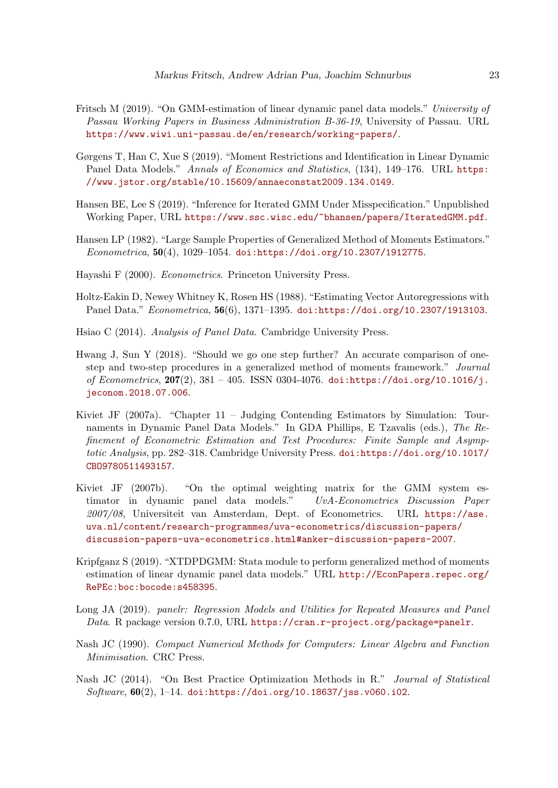- <span id="page-22-3"></span>Fritsch M (2019). "On GMM-estimation of linear dynamic panel data models." University of Passau Working Papers in Business Administration B-36-19, University of Passau. URL <https://www.wiwi.uni-passau.de/en/research/working-papers/>.
- <span id="page-22-2"></span>Gørgens T, Han C, Xue S (2019). "Moment Restrictions and Identification in Linear Dynamic Panel Data Models." Annals of Economics and Statistics, (134), 149–176. URL [https:](https://www.jstor.org/stable/10.15609/annaeconstat2009.134.0149) [//www.jstor.org/stable/10.15609/annaeconstat2009.134.0149](https://www.jstor.org/stable/10.15609/annaeconstat2009.134.0149).
- <span id="page-22-6"></span>Hansen BE, Lee S (2019). "Inference for Iterated GMM Under Misspecification." Unpublished Working Paper, URL <https://www.ssc.wisc.edu/~bhansen/papers/IteratedGMM.pdf>.
- <span id="page-22-12"></span>Hansen LP (1982). "Large Sample Properties of Generalized Method of Moments Estimators."  $Econometrica, 50(4), 1029-1054.$  [doi:https://doi.org/10.2307/1912775](http://dx.doi.org/https://doi.org/10.2307/1912775).
- <span id="page-22-11"></span>Hayashi F (2000). Econometrics. Princeton University Press.
- <span id="page-22-1"></span>Holtz-Eakin D, Newey Whitney K, Rosen HS (1988). "Estimating Vector Autoregressions with Panel Data." Econometrica, 56(6), 1371–1395. [doi:https://doi.org/10.2307/1913103](http://dx.doi.org/https://doi.org/10.2307/1913103).
- <span id="page-22-0"></span>Hsiao C (2014). Analysis of Panel Data. Cambridge University Press.
- <span id="page-22-7"></span>Hwang J, Sun Y (2018). "Should we go one step further? An accurate comparison of onestep and two-step procedures in a generalized method of moments framework." Journal of Econometrics,  $207(2)$ ,  $381 - 405$ . ISSN 0304-4076. [doi:https://doi.org/10.1016/j.](http://dx.doi.org/https://doi.org/10.1016/j.jeconom.2018.07.006) [jeconom.2018.07.006](http://dx.doi.org/https://doi.org/10.1016/j.jeconom.2018.07.006).
- <span id="page-22-8"></span>Kiviet JF (2007a). "Chapter 11 – Judging Contending Estimators by Simulation: Tournaments in Dynamic Panel Data Models." In GDA Phillips, E Tzavalis (eds.), The Refinement of Econometric Estimation and Test Procedures: Finite Sample and Asymptotic Analysis, pp. 282–318. Cambridge University Press. [doi:https://doi.org/10.1017/](http://dx.doi.org/https://doi.org/10.1017/CBO9780511493157) [CBO9780511493157](http://dx.doi.org/https://doi.org/10.1017/CBO9780511493157).
- <span id="page-22-13"></span>Kiviet JF (2007b). "On the optimal weighting matrix for the GMM system estimator in dynamic panel data models." UvA-Econometrics Discussion Paper 2007/08, Universiteit van Amsterdam, Dept. of Econometrics. URL [https://ase.](https://ase.uva.nl/content/research-programmes/uva-econometrics/discussion-papers/discussion-papers-uva-econometrics.html#anker-discussion-papers-2007) [uva.nl/content/research-programmes/uva-econometrics/discussion-papers/](https://ase.uva.nl/content/research-programmes/uva-econometrics/discussion-papers/discussion-papers-uva-econometrics.html#anker-discussion-papers-2007) [discussion-papers-uva-econometrics.html#anker-discussion-papers-2007](https://ase.uva.nl/content/research-programmes/uva-econometrics/discussion-papers/discussion-papers-uva-econometrics.html#anker-discussion-papers-2007).
- <span id="page-22-4"></span>Kripfganz S (2019). "XTDPDGMM: Stata module to perform generalized method of moments estimation of linear dynamic panel data models." URL [http://EconPapers.repec.org/](http://EconPapers.repec.org/RePEc:boc:bocode:s458395) [RePEc:boc:bocode:s458395](http://EconPapers.repec.org/RePEc:boc:bocode:s458395).
- <span id="page-22-5"></span>Long JA (2019). panelr: Regression Models and Utilities for Repeated Measures and Panel Data. R package version 0.7.0, URL <https://cran.r-project.org/package=panelr>.
- <span id="page-22-10"></span>Nash JC (1990). Compact Numerical Methods for Computers: Linear Algebra and Function Minimisation. CRC Press.
- <span id="page-22-9"></span>Nash JC (2014). "On Best Practice Optimization Methods in R." Journal of Statistical Software,  $60(2)$ , 1-14. [doi:https://doi.org/10.18637/jss.v060.i02](http://dx.doi.org/https://doi.org/10.18637/jss.v060.i02).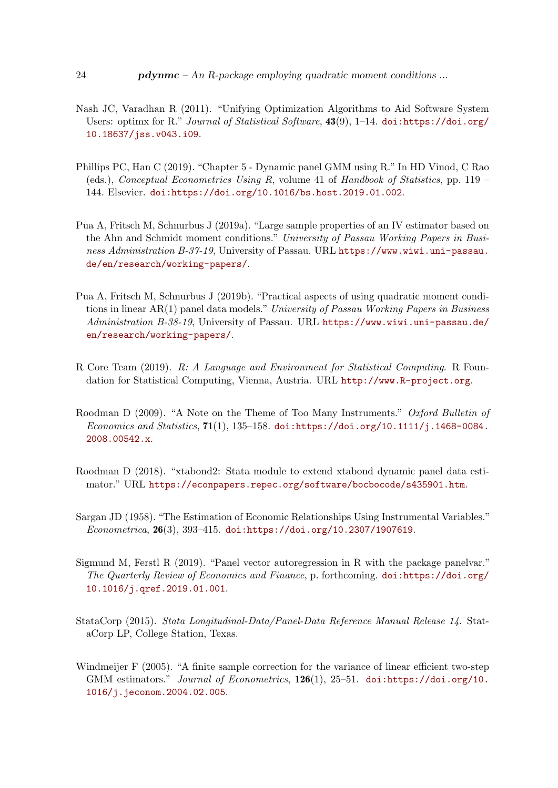- <span id="page-23-6"></span>Nash JC, Varadhan R (2011). "Unifying Optimization Algorithms to Aid Software System Users: optimx for R." Journal of Statistical Software,  $43(9)$ , 1–14. [doi:https://doi.org/](http://dx.doi.org/https://doi.org/10.18637/jss.v043.i09) [10.18637/jss.v043.i09](http://dx.doi.org/https://doi.org/10.18637/jss.v043.i09).
- <span id="page-23-5"></span>Phillips PC, Han C (2019). "Chapter 5 - Dynamic panel GMM using R." In HD Vinod, C Rao (eds.), *Conceptual Econometrics Using R*, volume 41 of *Handbook of Statistics*, pp.  $119 -$ 144. Elsevier. [doi:https://doi.org/10.1016/bs.host.2019.01.002](http://dx.doi.org/https://doi.org/10.1016/bs.host.2019.01.002).
- <span id="page-23-0"></span>Pua A, Fritsch M, Schnurbus J (2019a). "Large sample properties of an IV estimator based on the Ahn and Schmidt moment conditions." University of Passau Working Papers in Business Administration B-37-19, University of Passau. URL [https://www.wiwi.uni-passau.](https://www.wiwi.uni-passau.de/en/research/working-papers/) [de/en/research/working-papers/](https://www.wiwi.uni-passau.de/en/research/working-papers/).
- <span id="page-23-1"></span>Pua A, Fritsch M, Schnurbus J (2019b). "Practical aspects of using quadratic moment conditions in linear AR(1) panel data models." University of Passau Working Papers in Business Administration B-38-19, University of Passau. URL [https://www.wiwi.uni-passau.de/](https://www.wiwi.uni-passau.de/en/research/working-papers/) [en/research/working-papers/](https://www.wiwi.uni-passau.de/en/research/working-papers/).
- <span id="page-23-3"></span>R Core Team (2019). R: A Language and Environment for Statistical Computing. R Foundation for Statistical Computing, Vienna, Austria. URL <http://www.R-project.org>.
- <span id="page-23-9"></span>Roodman D (2009). "A Note on the Theme of Too Many Instruments." Oxford Bulletin of Economics and Statistics, 71(1), 135–158. [doi:https://doi.org/10.1111/j.1468-0084.](http://dx.doi.org/https://doi.org/10.1111/j.1468-0084.2008.00542.x) [2008.00542.x](http://dx.doi.org/https://doi.org/10.1111/j.1468-0084.2008.00542.x).
- <span id="page-23-10"></span>Roodman D (2018). "xtabond2: Stata module to extend xtabond dynamic panel data estimator." URL <https://econpapers.repec.org/software/bocbocode/s435901.htm>.
- <span id="page-23-8"></span>Sargan JD (1958). "The Estimation of Economic Relationships Using Instrumental Variables." Econometrica, 26(3), 393–415. [doi:https://doi.org/10.2307/1907619](http://dx.doi.org/https://doi.org/10.2307/1907619).
- <span id="page-23-4"></span>Sigmund M, Ferstl R (2019). "Panel vector autoregression in R with the package panelvar." The Quarterly Review of Economics and Finance, p. forthcoming. [doi:https://doi.org/](http://dx.doi.org/https://doi.org/10.1016/j.qref.2019.01.001) [10.1016/j.qref.2019.01.001](http://dx.doi.org/https://doi.org/10.1016/j.qref.2019.01.001).
- <span id="page-23-2"></span>StataCorp (2015). Stata Longitudinal-Data/Panel-Data Reference Manual Release 14. StataCorp LP, College Station, Texas.
- <span id="page-23-7"></span>Windmeijer F (2005). "A finite sample correction for the variance of linear efficient two-step GMM estimators." Journal of Econometrics, 126(1), 25-51. [doi:https://doi.org/10.](http://dx.doi.org/https://doi.org/10.1016/j.jeconom.2004.02.005) [1016/j.jeconom.2004.02.005](http://dx.doi.org/https://doi.org/10.1016/j.jeconom.2004.02.005).